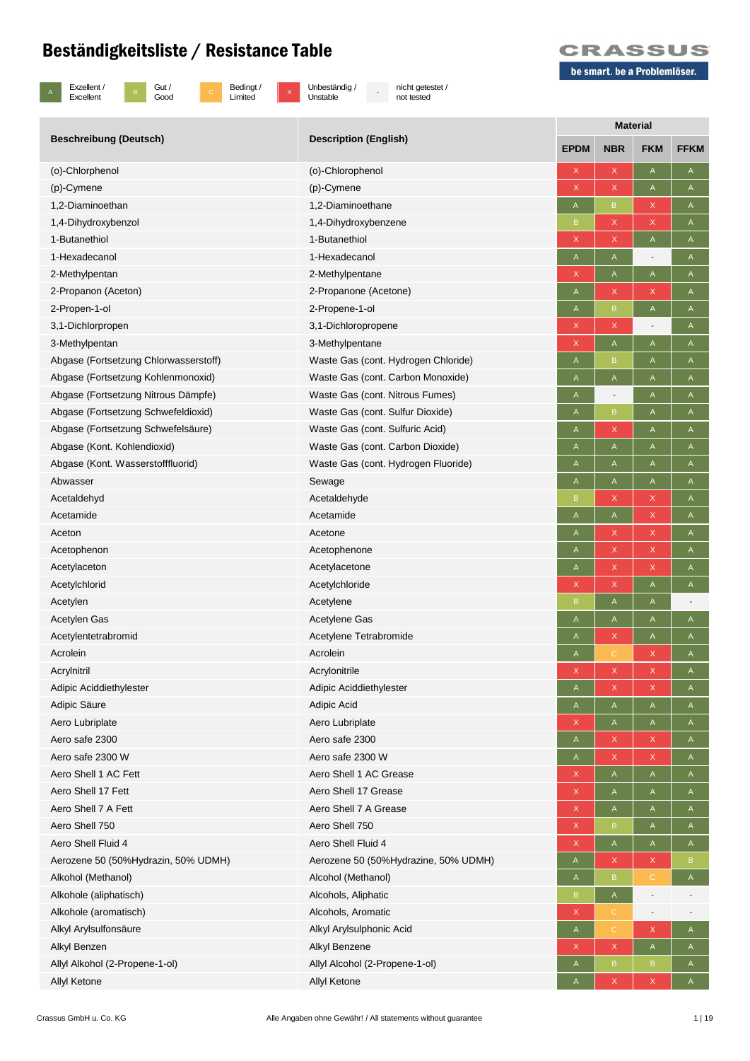

B Gut /<br>Good

c Bedingt /<br>Limited

 $\overline{x}$  Unbeständig / Unstable

- nicht getestet / not tested



|                                       |                                      | <b>Material</b> |                          |                                                                       |              |  |
|---------------------------------------|--------------------------------------|-----------------|--------------------------|-----------------------------------------------------------------------|--------------|--|
| <b>Beschreibung (Deutsch)</b>         | <b>Description (English)</b>         | <b>EPDM</b>     | <b>NBR</b>               | <b>FKM</b>                                                            | <b>FFKM</b>  |  |
| (o)-Chlorphenol                       | (o)-Chlorophenol                     | X               | X                        | $\mathsf A$                                                           | A            |  |
| (p)-Cymene                            | (p)-Cymene                           | X               | X                        | $\mathsf A$                                                           | A            |  |
| 1.2-Diaminoethan                      | 1,2-Diaminoethane                    | A               | $\mathsf B$              | $\mathsf X$                                                           | A            |  |
| 1,4-Dihydroxybenzol                   | 1,4-Dihydroxybenzene                 | B               | $\mathsf X$              | $\mathsf X$                                                           | A            |  |
| 1-Butanethiol                         | 1-Butanethiol                        | X               | X                        | A                                                                     | A            |  |
| 1-Hexadecanol                         | 1-Hexadecanol                        | A               | A                        |                                                                       | A            |  |
| 2-Methylpentan                        | 2-Methylpentane                      | X               | A                        | $\mathsf{A}% _{\mathsf{A}}^{\prime}=\mathsf{A}_{\mathsf{A}}^{\prime}$ | A            |  |
| 2-Propanon (Aceton)                   | 2-Propanone (Acetone)                | A               | X                        | X                                                                     | A            |  |
| 2-Propen-1-ol                         | 2-Propene-1-ol                       | A               | $\sf{B}$                 | $\mathsf A$                                                           | A            |  |
| 3,1-Dichlorpropen                     | 3,1-Dichloropropene                  | X               | $\mathsf X$              | $\overline{a}$                                                        | A            |  |
| 3-Methylpentan                        | 3-Methylpentane                      | X               | $\mathsf A$              | $\mathsf A$                                                           | A            |  |
| Abgase (Fortsetzung Chlorwasserstoff) | Waste Gas (cont. Hydrogen Chloride)  | A               | B                        | Α                                                                     | A            |  |
| Abgase (Fortsetzung Kohlenmonoxid)    | Waste Gas (cont. Carbon Monoxide)    | A               | A                        | A                                                                     | A            |  |
| Abgase (Fortsetzung Nitrous Dämpfe)   | Waste Gas (cont. Nitrous Fumes)      | A               | $\overline{\phantom{a}}$ | Α                                                                     | A            |  |
| Abgase (Fortsetzung Schwefeldioxid)   | Waste Gas (cont. Sulfur Dioxide)     | A               | $\mathsf B$              | $\mathsf{A}$                                                          | A            |  |
| Abgase (Fortsetzung Schwefelsäure)    | Waste Gas (cont. Sulfuric Acid)      | Α               | $\mathsf X$              | Α                                                                     | A            |  |
| Abgase (Kont. Kohlendioxid)           | Waste Gas (cont. Carbon Dioxide)     | Α               | A                        | Α                                                                     | A            |  |
| Abgase (Kont. Wasserstofffluorid)     | Waste Gas (cont. Hydrogen Fluoride)  | A               | A                        | A                                                                     | A            |  |
| Abwasser                              | Sewage                               | A               | A                        | A                                                                     | A            |  |
| Acetaldehyd                           | Acetaldehyde                         | B               | $\mathsf X$              | $\mathsf X$                                                           | A            |  |
| Acetamide                             | Acetamide                            | A               | A                        | X                                                                     | A            |  |
| Aceton                                | Acetone                              | A               | $\mathsf X$              | X                                                                     | A            |  |
| Acetophenon                           | Acetophenone                         | Α               | X                        | X                                                                     | A            |  |
| Acetylaceton                          | Acetylacetone                        | Α               | X                        | X                                                                     | A            |  |
| Acetylchlorid                         | Acetylchloride                       | X               | $\mathsf X$              | A                                                                     | A            |  |
| Acetylen                              | Acetylene                            | B               | A                        | A                                                                     |              |  |
| Acetylen Gas                          | Acetylene Gas                        | A               | A                        | A                                                                     | A            |  |
| Acetylentetrabromid                   | Acetylene Tetrabromide               | A               | X                        | Α                                                                     | A            |  |
| Acrolein                              | Acrolein                             | A               | $\mathbb{C}$             | X                                                                     | A            |  |
| Acrylnitril                           | Acrylonitrile                        | X               | X                        | X                                                                     | A            |  |
| Adipic Aciddiethylester               | Adipic Aciddiethylester              | A               | X                        | X                                                                     | A            |  |
| Adipic Säure                          | Adipic Acid                          | A               | A                        | A                                                                     | A            |  |
| Aero Lubriplate                       | Aero Lubriplate                      | Χ               | A                        | A                                                                     | A            |  |
| Aero safe 2300                        | Aero safe 2300                       | A               | X                        | X                                                                     | A            |  |
| Aero safe 2300 W                      | Aero safe 2300 W                     | A               | $\mathsf X$              | $\mathsf X$                                                           | A            |  |
| Aero Shell 1 AC Fett                  | Aero Shell 1 AC Grease               | X               | A                        | $\mathsf A$                                                           | A            |  |
| Aero Shell 17 Fett                    | Aero Shell 17 Grease                 | X               | A                        | $\mathsf{A}$                                                          | A            |  |
| Aero Shell 7 A Fett                   | Aero Shell 7 A Grease                | X               | $\mathsf{A}$             | $\mathsf{A}$                                                          | A            |  |
| Aero Shell 750                        | Aero Shell 750                       | X.              | $\mathsf B$              | A                                                                     | A            |  |
| Aero Shell Fluid 4                    | Aero Shell Fluid 4                   | X               | A                        | Α                                                                     | A            |  |
| Aerozene 50 (50%Hydrazin, 50% UDMH)   | Aerozene 50 (50%Hydrazine, 50% UDMH) | A               | X                        | X                                                                     | B            |  |
| Alkohol (Methanol)                    | Alcohol (Methanol)                   | A               | $\mathsf B$              | $\mathbb C$                                                           | $\mathsf A$  |  |
| Alkohole (aliphatisch)                | Alcohols, Aliphatic                  | $\sf{B}$        | $\mathsf A$              | $\overline{a}$                                                        |              |  |
| Alkohole (aromatisch)                 | Alcohols, Aromatic                   | X               | $\mathbb C$              | $\overline{a}$                                                        |              |  |
| Alkyl Arylsulfonsäure                 | Alkyl Arylsulphonic Acid             | A               | $\mathbb C$              | X                                                                     | $\mathsf{A}$ |  |
| Alkyl Benzen                          | Alkyl Benzene                        | X.              | X                        | A                                                                     | A            |  |
| Allyl Alkohol (2-Propene-1-ol)        | Allyl Alcohol (2-Propene-1-ol)       | A               | $\, {\bf B}$             | $\, {\bf B}$                                                          | A            |  |
| Allyl Ketone                          | Allyl Ketone                         | Α               | X                        | X                                                                     | A            |  |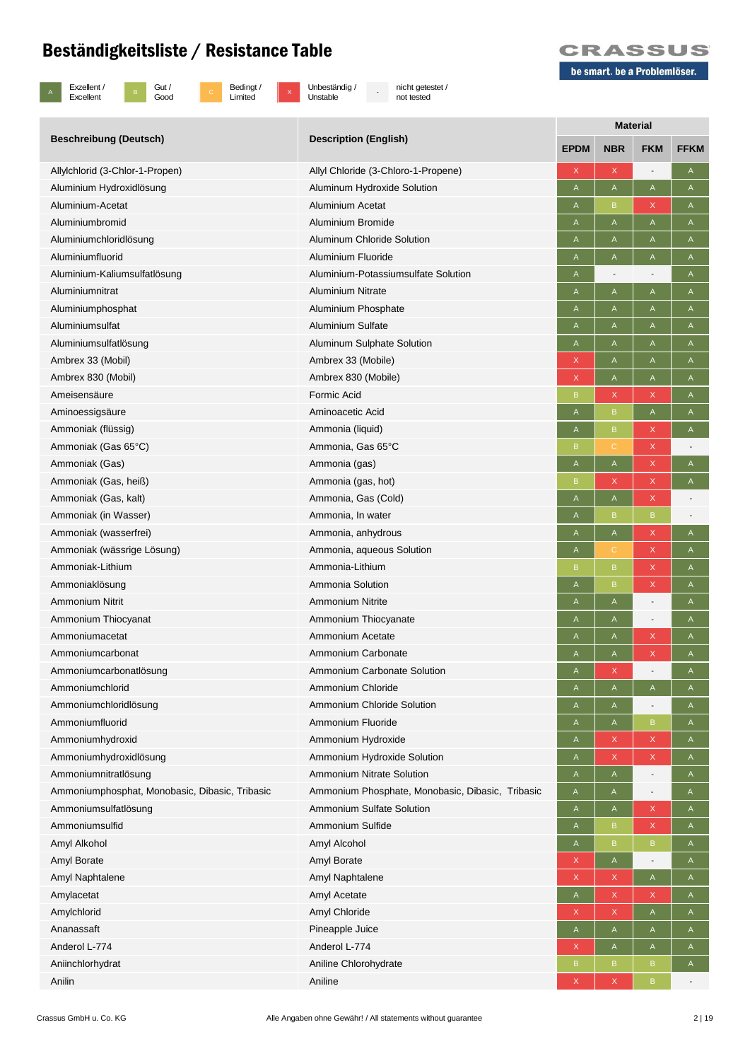

B Gut /<br>Good

c Bedingt /<br>Limited

x Unbeständig /<br>Unstable

- nicht getestet / not tested



|                                                |                                                  | <b>Material</b> |             |                            |                          |  |  |
|------------------------------------------------|--------------------------------------------------|-----------------|-------------|----------------------------|--------------------------|--|--|
| <b>Beschreibung (Deutsch)</b>                  | <b>Description (English)</b>                     | <b>EPDM</b>     | <b>NBR</b>  | <b>FKM</b>                 | <b>FFKM</b>              |  |  |
| Allylchlorid (3-Chlor-1-Propen)                | Allyl Chloride (3-Chloro-1-Propene)              | X               | X           |                            | Α                        |  |  |
| Aluminium Hydroxidlösung                       | Aluminum Hydroxide Solution                      | A               | A           | A                          | A                        |  |  |
| Aluminium-Acetat                               | Aluminium Acetat                                 | A               | В           | $\boldsymbol{\mathsf{X}}$  | A                        |  |  |
| Aluminiumbromid                                | Aluminium Bromide                                | A               | Α           | $\mathsf A$                | A                        |  |  |
| Aluminiumchloridlösung                         | Aluminum Chloride Solution                       | A               | Α           | $\mathsf A$                | A                        |  |  |
| Aluminiumfluorid                               | Aluminium Fluoride                               | A               | Α           | Α                          | A                        |  |  |
| Aluminium-Kaliumsulfatlösung                   | Aluminium-Potassiumsulfate Solution              | A               |             |                            | A                        |  |  |
| Aluminiumnitrat                                | <b>Aluminium Nitrate</b>                         | A               | Α           | $\mathsf A$                | A                        |  |  |
| Aluminiumphosphat                              | Aluminium Phosphate                              | A               | Α           | A                          | A                        |  |  |
| Aluminiumsulfat                                | Aluminium Sulfate                                | A               | Α           | Α                          | A                        |  |  |
| Aluminiumsulfatlösung                          | Aluminum Sulphate Solution                       | A               | Α           | Α                          | A                        |  |  |
| Ambrex 33 (Mobil)                              | Ambrex 33 (Mobile)                               | X               | Α           | $\mathsf A$                | A                        |  |  |
| Ambrex 830 (Mobil)                             | Ambrex 830 (Mobile)                              | X               | A           | $\mathsf A$                | A                        |  |  |
| Ameisensäure                                   | Formic Acid                                      | $\overline{B}$  | X           | $\mathsf X$                | $\overline{A}$           |  |  |
| Aminoessigsäure                                | Aminoacetic Acid                                 | A               | B           | A                          | A                        |  |  |
| Ammoniak (flüssig)                             | Ammonia (liquid)                                 | A               | B           | $\mathsf X$                | A                        |  |  |
| Ammoniak (Gas 65°C)                            | Ammonia, Gas 65°C                                | B               | C.          | $\mathsf{X}$               |                          |  |  |
| Ammoniak (Gas)                                 | Ammonia (gas)                                    | A               | A           | $\mathsf{X}$               | $\overline{A}$           |  |  |
| Ammoniak (Gas, heiß)                           | Ammonia (gas, hot)                               | B               | X           | $\mathsf X$                | $\mathsf{A}$             |  |  |
| Ammoniak (Gas, kalt)                           | Ammonia, Gas (Cold)                              | A               | A           | $\mathsf X$                |                          |  |  |
| Ammoniak (in Wasser)                           | Ammonia, In water                                | A               | B           | $\, {\bf B}$               |                          |  |  |
| Ammoniak (wasserfrei)                          | Ammonia, anhydrous                               | A               | A           | $\mathsf X$                | Α                        |  |  |
| Ammoniak (wässrige Lösung)                     | Ammonia, aqueous Solution                        | A               | С           | $\mathsf X$                | A                        |  |  |
| Ammoniak-Lithium                               | Ammonia-Lithium                                  | B               | B           | $\mathsf{X}$               | $\mathsf{A}$             |  |  |
| Ammoniaklösung                                 | Ammonia Solution                                 | A               | B           | $\mathsf{X}$               | $\mathsf{A}$             |  |  |
| <b>Ammonium Nitrit</b>                         | Ammonium Nitrite                                 | A               | Α           | -                          | A                        |  |  |
| Ammonium Thiocyanat                            | Ammonium Thiocyanate                             | A               | Α           | $\overline{a}$             | A                        |  |  |
| Ammoniumacetat                                 | Ammonium Acetate                                 | A               | A           | $\mathsf X$                | $\mathsf A$              |  |  |
| Ammoniumcarbonat                               | Ammonium Carbonate                               | A               | A           | $\mathsf X$                | A                        |  |  |
| Ammoniumcarbonatlösung                         | Ammonium Carbonate Solution                      | A               | X           |                            | A                        |  |  |
| Ammoniumchlorid                                | Ammonium Chloride                                | A               | A           | A                          | $\mathsf{A}$             |  |  |
| Ammoniumchloridlösung                          | Ammonium Chloride Solution                       | A               | A           | -                          | $\mathsf{A}$             |  |  |
| Ammoniumfluorid                                | Ammonium Fluoride                                | A               | A           | $\mathsf B$                | Α                        |  |  |
| Ammoniumhydroxid                               | Ammonium Hydroxide                               | A               | X           | $\mathsf X$                | A                        |  |  |
| Ammoniumhydroxidlösung                         | Ammonium Hydroxide Solution                      | A               | X           | $\mathsf X$                | $\mathsf{A}$             |  |  |
| Ammoniumnitratlösung                           | <b>Ammonium Nitrate Solution</b>                 | A               | A           | -                          | $\mathsf{A}$             |  |  |
| Ammoniumphosphat, Monobasic, Dibasic, Tribasic | Ammonium Phosphate, Monobasic, Dibasic, Tribasic | A               | A           | -                          | $\mathsf A$              |  |  |
| Ammoniumsulfatlösung                           | Ammonium Sulfate Solution                        | A               | A           | $\mathsf X$                | A                        |  |  |
| Ammoniumsulfid                                 | Ammonium Sulfide                                 | A               | B           | $\mathsf X$                | $\mathsf{A}$             |  |  |
| Amyl Alkohol                                   | Amyl Alcohol                                     | A               | B           | $\mathsf B$                | A                        |  |  |
|                                                |                                                  |                 |             |                            |                          |  |  |
| Amyl Borate<br>Amyl Naphtalene                 | Amyl Borate<br>Amyl Naphtalene                   | X<br>X          | A<br>X      | -<br>A                     | A<br>$\mathsf{A}$        |  |  |
|                                                | Amyl Acetate                                     | A               | X           | $\mathsf X$                |                          |  |  |
| Amylacetat<br>Amylchlorid                      | Amyl Chloride                                    | X               | $\mathsf X$ |                            | A                        |  |  |
| Ananassaft                                     |                                                  |                 |             | $\mathsf A$                | A                        |  |  |
| Anderol L-774                                  | Pineapple Juice<br>Anderol L-774                 | A<br>X          | A<br>A      | $\mathsf A$<br>$\mathsf A$ | A<br>$\mathsf{A}$        |  |  |
|                                                |                                                  |                 |             |                            |                          |  |  |
| Aniinchlorhydrat<br>Anilin                     | Aniline Chlorohydrate                            | B               | B           | B<br>$\mathsf B$           | A                        |  |  |
|                                                | Aniline                                          | X               | $\mathsf X$ |                            | $\overline{\phantom{a}}$ |  |  |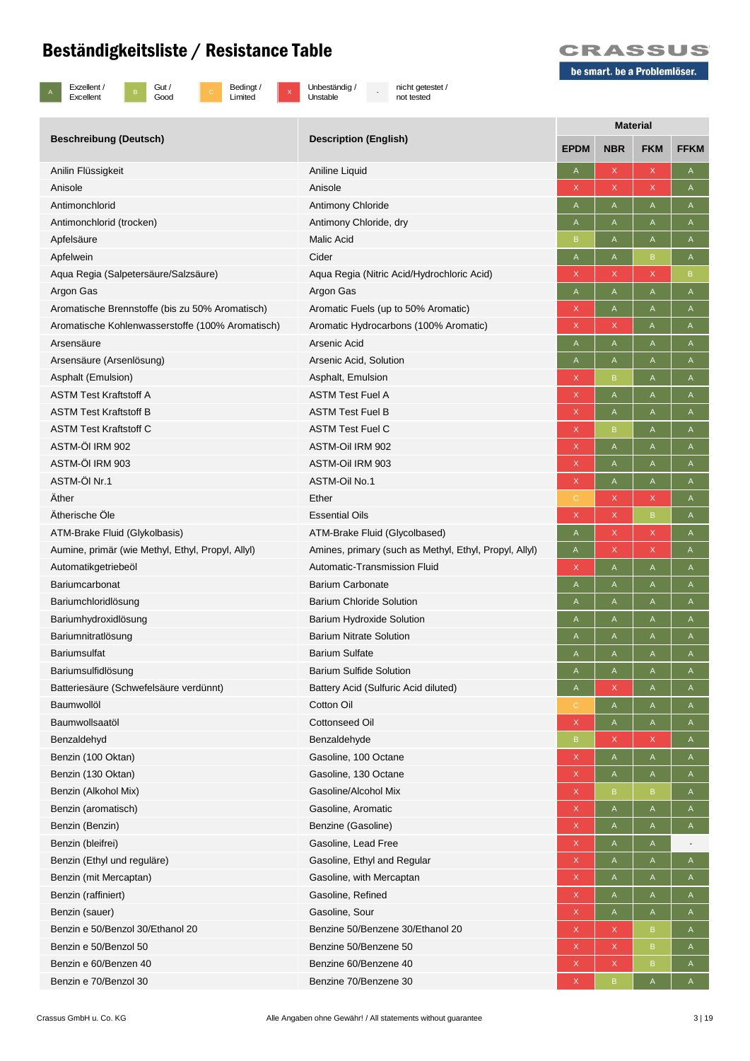B Gut /<br>Good



c Bedingt /<br>Limited

x Unbeständig /<br>Unstable

- nicht getestet / not tested



|                                                           |                                                         | <b>Material</b>  |                   |                             |                                          |  |  |
|-----------------------------------------------------------|---------------------------------------------------------|------------------|-------------------|-----------------------------|------------------------------------------|--|--|
| <b>Beschreibung (Deutsch)</b>                             | <b>Description (English)</b>                            | <b>EPDM</b>      | <b>NBR</b>        | <b>FKM</b>                  | <b>FFKM</b>                              |  |  |
| Anilin Flüssigkeit                                        | Aniline Liquid                                          | A                | X                 | $\mathsf X$                 | $\mathsf A$                              |  |  |
| Anisole                                                   | Anisole                                                 | X                | X                 | $\mathsf{X}$                | A                                        |  |  |
| Antimonchlorid                                            | <b>Antimony Chloride</b>                                | A                | A                 | A                           | A                                        |  |  |
| Antimonchlorid (trocken)                                  | Antimony Chloride, dry                                  | A                | Α                 | A                           | A                                        |  |  |
| Apfelsäure                                                | Malic Acid                                              | B                | A                 | A                           | A                                        |  |  |
| Apfelwein                                                 | Cider                                                   | A                | Α                 | $\, {\bf B}$                | A                                        |  |  |
| Aqua Regia (Salpetersäure/Salzsäure)                      | Aqua Regia (Nitric Acid/Hydrochloric Acid)              | X                | X                 | $\mathsf X$                 | B                                        |  |  |
| Argon Gas                                                 | Argon Gas                                               | A                | $\mathsf A$       | $\mathsf A$                 | $\mathsf A$                              |  |  |
| Aromatische Brennstoffe (bis zu 50% Aromatisch)           | Aromatic Fuels (up to 50% Aromatic)                     | X                | A                 | $\mathsf A$                 | $\mathsf A$                              |  |  |
| Aromatische Kohlenwasserstoffe (100% Aromatisch)          | Aromatic Hydrocarbons (100% Aromatic)                   | X                | X                 | A                           | $\mathsf A$                              |  |  |
| Arsensäure                                                | Arsenic Acid                                            | A                | Α                 | A                           | A                                        |  |  |
| Arsensäure (Arsenlösung)                                  | Arsenic Acid, Solution                                  | A                | Α                 | Α                           | A                                        |  |  |
| Asphalt (Emulsion)                                        | Asphalt, Emulsion                                       | X                | B                 | $\mathsf A$                 | $\mathsf A$                              |  |  |
| <b>ASTM Test Kraftstoff A</b>                             | <b>ASTM Test Fuel A</b>                                 | X                | A                 | A                           | A                                        |  |  |
| <b>ASTM Test Kraftstoff B</b>                             | <b>ASTM Test Fuel B</b>                                 | X                | Α                 | Α                           | A                                        |  |  |
| <b>ASTM Test Kraftstoff C</b>                             | <b>ASTM Test Fuel C</b>                                 | $\mathsf{X}$     | В                 | $\mathsf A$                 | $\mathsf A$                              |  |  |
| ASTM-ÖI IRM 902                                           | ASTM-Oil IRM 902                                        | X                | A                 | $\mathsf A$                 | $\overline{A}$                           |  |  |
| ASTM-ÖI IRM 903                                           | ASTM-Oil IRM 903                                        | X                | Α                 | Α                           | A                                        |  |  |
| ASTM-ÖI Nr.1                                              | <b>ASTM-Oil No.1</b>                                    | X                | A                 | Α                           | $\mathsf{A}$                             |  |  |
| Äther                                                     | Ether                                                   | $\mathsf{C}$     | X                 | $\mathsf{X}$                | A                                        |  |  |
| Ätherische Öle                                            | <b>Essential Oils</b>                                   | X                | $\mathsf{X}$      | $\mathsf B$                 | A                                        |  |  |
| ATM-Brake Fluid (Glykolbasis)                             | ATM-Brake Fluid (Glycolbased)                           | A                | $\mathsf X$       | $\mathsf X$                 | A                                        |  |  |
| Aumine, primär (wie Methyl, Ethyl, Propyl, Allyl)         | Amines, primary (such as Methyl, Ethyl, Propyl, Allyl)  | A                | $\mathsf X$       | $\mathsf X$                 | Α                                        |  |  |
| Automatikgetriebeöl                                       | Automatic-Transmission Fluid                            | X                | $\mathsf A$       | $\mathsf A$                 | $\mathsf A$                              |  |  |
| Bariumcarbonat                                            | <b>Barium Carbonate</b>                                 | A                | A                 | $\mathsf A$                 | $\mathsf A$                              |  |  |
| Bariumchloridlösung                                       | <b>Barium Chloride Solution</b>                         | A                | Α                 | Α                           | A                                        |  |  |
| Bariumhydroxidlösung                                      | <b>Barium Hydroxide Solution</b>                        | A                | Α                 | A                           | A                                        |  |  |
| Bariumnitratlösung                                        | <b>Barium Nitrate Solution</b>                          | A                | A                 | A                           | A                                        |  |  |
| <b>Bariumsulfat</b>                                       | <b>Barium Sulfate</b>                                   | A                | A                 | Α                           | Α                                        |  |  |
| Bariumsulfidlösung                                        | <b>Barium Sulfide Solution</b>                          | A                | A                 | A                           | Α                                        |  |  |
| Batteriesäure (Schwefelsäure verdünnt)                    | Battery Acid (Sulfuric Acid diluted)                    | A                | X                 | A                           | $\mathsf{A}$                             |  |  |
| Baumwollöl                                                | Cotton Oil                                              | $\mathsf{C}$     | A                 | A                           | A                                        |  |  |
| Baumwollsaatöl                                            | <b>Cottonseed Oil</b>                                   | X                | $\mathsf{A}$      | A                           | $\mathsf{A}$                             |  |  |
| Benzaldehyd                                               | Benzaldehyde                                            | B                | X                 | $\mathsf X$                 | A                                        |  |  |
| Benzin (100 Oktan)                                        | Gasoline, 100 Octane                                    | $\mathsf X$      | A                 | A                           | A                                        |  |  |
| Benzin (130 Oktan)                                        | Gasoline, 130 Octane                                    | X                | $\mathsf{A}$      | A                           | $\mathsf{A}$                             |  |  |
| Benzin (Alkohol Mix)                                      | Gasoline/Alcohol Mix                                    | X                | B                 | $\, {\bf B}$                | A                                        |  |  |
| Benzin (aromatisch)                                       | Gasoline, Aromatic                                      | X                | A                 | A                           | A                                        |  |  |
| Benzin (Benzin)                                           | Benzine (Gasoline)                                      | $\mathsf X$      | A                 | A                           | $\mathsf{A}$                             |  |  |
| Benzin (bleifrei)                                         | Gasoline, Lead Free                                     | X                | A                 | A                           |                                          |  |  |
|                                                           |                                                         | $\mathsf X$      |                   |                             |                                          |  |  |
| Benzin (Ethyl und reguläre)<br>Benzin (mit Mercaptan)     | Gasoline, Ethyl and Regular<br>Gasoline, with Mercaptan | X                | $\mathsf{A}$<br>A | $\mathsf{A}$<br>$\mathsf A$ | $\mathsf A$<br>$\boldsymbol{\mathsf{A}}$ |  |  |
| Benzin (raffiniert)                                       | Gasoline, Refined                                       |                  |                   |                             |                                          |  |  |
| Benzin (sauer)                                            | Gasoline, Sour                                          | X                | A                 | A                           | A                                        |  |  |
|                                                           | Benzine 50/Benzene 30/Ethanol 20                        | X                | $\mathsf{A}$      | $\mathsf{A}$                | A                                        |  |  |
| Benzin e 50/Benzol 30/Ethanol 20<br>Benzin e 50/Benzol 50 | Benzine 50/Benzene 50                                   | X<br>$\mathsf X$ | $\mathsf X$       | $\mathsf B$<br>$\mathsf B$  | $\mathsf A$                              |  |  |
| Benzin e 60/Benzen 40                                     | Benzine 60/Benzene 40                                   |                  | X                 |                             | A                                        |  |  |
| Benzin e 70/Benzol 30                                     | Benzine 70/Benzene 30                                   | X                | $\mathsf{X}$      | $\, {\bf B}$                | A                                        |  |  |
|                                                           |                                                         | X                | $\, {\bf B}$      | $\mathsf A$                 | A                                        |  |  |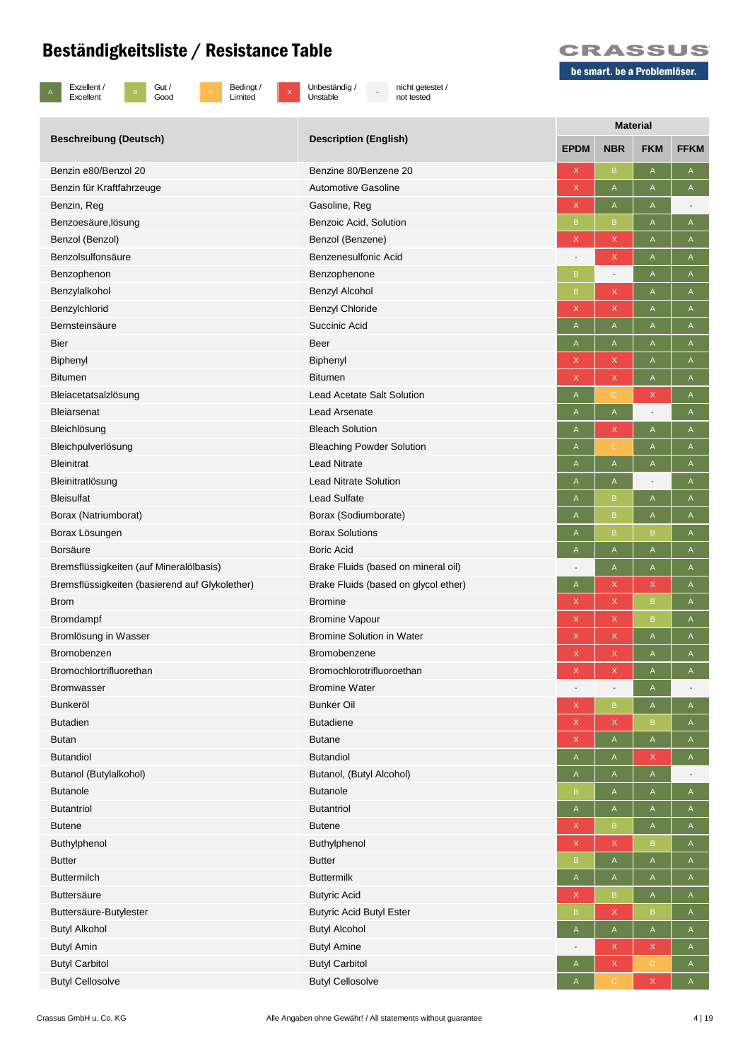

B Gut /<br>Good

c Bedingt /<br>Limited

x Unbeständig /<br>Unstable

- nicht getestet / not tested



|                                                | <b>Description (English)</b>         | <b>Material</b>           |                          |                                                                       |                |  |  |
|------------------------------------------------|--------------------------------------|---------------------------|--------------------------|-----------------------------------------------------------------------|----------------|--|--|
| <b>Beschreibung (Deutsch)</b>                  |                                      | <b>EPDM</b>               | <b>NBR</b>               | <b>FKM</b>                                                            | <b>FFKM</b>    |  |  |
| Benzin e80/Benzol 20                           | Benzine 80/Benzene 20                | X                         | B                        | A                                                                     | A              |  |  |
| Benzin für Kraftfahrzeuge                      | <b>Automotive Gasoline</b>           | $\mathsf X$               | A                        | A                                                                     | A              |  |  |
| Benzin, Reg                                    | Gasoline, Reg                        | $\mathsf X$               | A                        | A                                                                     | $\overline{a}$ |  |  |
| Benzoesäure, lösung                            | Benzoic Acid, Solution               | B                         | B                        | $\mathsf{A}% _{\mathsf{A}}^{\prime}=\mathsf{A}_{\mathsf{A}}^{\prime}$ | A              |  |  |
| Benzol (Benzol)                                | Benzol (Benzene)                     | X                         | X                        | A                                                                     | $\mathsf A$    |  |  |
| Benzolsulfonsäure                              | Benzenesulfonic Acid                 |                           | X                        | A                                                                     | A              |  |  |
| Benzophenon                                    | Benzophenone                         | B                         |                          | A                                                                     | A              |  |  |
| Benzylalkohol                                  | Benzyl Alcohol                       | B                         | X                        | A                                                                     | A              |  |  |
| Benzylchlorid                                  | Benzyl Chloride                      | $\boldsymbol{\mathsf{X}}$ | X                        | A                                                                     | Α              |  |  |
| Bernsteinsäure                                 | Succinic Acid                        | A                         | A                        | A                                                                     | Α              |  |  |
| <b>Bier</b>                                    | Beer                                 | Α                         | A                        | A                                                                     | A              |  |  |
| Biphenyl                                       | Biphenyl                             | $\mathsf X$               | X                        | $\mathsf A$                                                           | A              |  |  |
| <b>Bitumen</b>                                 | <b>Bitumen</b>                       | $\mathsf X$               | X                        | $\mathsf A$                                                           | $\mathsf{A}$   |  |  |
| Bleiacetatsalzlösung                           | <b>Lead Acetate Salt Solution</b>    | $\boldsymbol{\mathsf{A}}$ | C                        | X                                                                     | Α              |  |  |
| Bleiarsenat                                    | <b>Lead Arsenate</b>                 | Α                         | A                        | $\overline{\phantom{a}}$                                              | A              |  |  |
| Bleichlösung                                   | <b>Bleach Solution</b>               | A                         | X                        | $\mathsf A$                                                           | A              |  |  |
| Bleichpulverlösung                             | <b>Bleaching Powder Solution</b>     | A                         | $\mathsf C$              | A                                                                     | Α              |  |  |
| <b>Bleinitrat</b>                              | <b>Lead Nitrate</b>                  | $\mathsf{A}$              | A                        | A                                                                     | A              |  |  |
| Bleinitratlösung                               | <b>Lead Nitrate Solution</b>         | A                         | A                        | $\overline{\phantom{a}}$                                              | A              |  |  |
| <b>Bleisulfat</b>                              | <b>Lead Sulfate</b>                  | A                         | B                        | $\mathsf A$                                                           | A              |  |  |
| Borax (Natriumborat)                           | Borax (Sodiumborate)                 | $\boldsymbol{\mathsf{A}}$ | B                        | $\mathsf A$                                                           | $\mathsf A$    |  |  |
| Borax Lösungen                                 | <b>Borax Solutions</b>               | A                         | B                        | B                                                                     | A              |  |  |
| <b>Borsäure</b>                                | <b>Boric Acid</b>                    | A                         | A                        | A                                                                     | A              |  |  |
| Bremsflüssigkeiten (auf Mineralölbasis)        | Brake Fluids (based on mineral oil)  |                           | A                        | A                                                                     | A              |  |  |
| Bremsflüssigkeiten (basierend auf Glykolether) | Brake Fluids (based on glycol ether) | A                         | X                        | X                                                                     | A              |  |  |
| <b>Brom</b>                                    | <b>Bromine</b>                       | X                         | X                        | $\, {\bf B}$                                                          | Α              |  |  |
| Bromdampf                                      | <b>Bromine Vapour</b>                | $\boldsymbol{\mathsf{X}}$ | X                        | $\mathsf B$                                                           | A              |  |  |
| Bromlösung in Wasser                           | <b>Bromine Solution in Water</b>     | $\mathsf X$               | X                        | $\mathsf A$                                                           | $\mathsf A$    |  |  |
| Bromobenzen                                    | Bromobenzene                         | $\mathsf X$               | X                        | A                                                                     | A              |  |  |
| Bromochlortrifluorethan                        | Bromochlorotrifluoroethan            | $\mathsf{X}$              | X                        | $\mathsf A$                                                           | A              |  |  |
| <b>Bromwasser</b>                              | <b>Bromine Water</b>                 |                           | $\overline{\phantom{a}}$ | A                                                                     |                |  |  |
| <b>Bunkeröl</b>                                | <b>Bunker Oil</b>                    | $\mathsf X$               | $\mathsf B$              | $\mathsf{A}% _{\mathsf{A}}^{\prime}=\mathsf{A}_{\mathsf{A}}^{\prime}$ | $\mathsf{A}$   |  |  |
| <b>Butadien</b>                                | <b>Butadiene</b>                     | X                         | X                        | $\mathsf B$                                                           | A              |  |  |
| <b>Butan</b>                                   | <b>Butane</b>                        | $\mathsf X$               | A                        | $\mathsf A$                                                           | A              |  |  |
| <b>Butandiol</b>                               | <b>Butandiol</b>                     | A                         | A                        | X                                                                     | A              |  |  |
| Butanol (Butylalkohol)                         | Butanol, (Butyl Alcohol)             | A                         | A                        | $\mathsf{A}$                                                          |                |  |  |
| <b>Butanole</b>                                | <b>Butanole</b>                      | B                         | $\mathsf{A}$             | $\mathsf{A}$                                                          | $\mathsf{A}$   |  |  |
| <b>Butantriol</b>                              | <b>Butantriol</b>                    | A                         | A                        | A                                                                     | A              |  |  |
| <b>Butene</b>                                  | <b>Butene</b>                        | $\mathsf X$               | $\mathsf B$              | A                                                                     | $\mathsf{A}$   |  |  |
| Buthylphenol                                   | Buthylphenol                         | $\mathsf X$               | X                        | $\mathsf B$                                                           | A              |  |  |
| <b>Butter</b>                                  | <b>Butter</b>                        | $\mathsf B$               | A                        | $\mathsf A$                                                           | A              |  |  |
| <b>Buttermilch</b>                             | <b>Buttermilk</b>                    | A                         | A                        | A                                                                     | A              |  |  |
| Buttersäure                                    | <b>Butyric Acid</b>                  | X                         | B                        | A                                                                     | A              |  |  |
| Buttersäure-Butylester                         | <b>Butyric Acid Butyl Ester</b>      | B                         | X                        | $\sf{B}$                                                              | A              |  |  |
| <b>Butyl Alkohol</b>                           | <b>Butyl Alcohol</b>                 | A                         | A                        | $\mathsf A$                                                           | $\mathsf{A}$   |  |  |
| <b>Butyl Amin</b>                              | <b>Butyl Amine</b>                   |                           | X                        | X                                                                     | A              |  |  |
| <b>Butyl Carbitol</b>                          | <b>Butyl Carbitol</b>                | A                         | X                        | $\mathbb C$                                                           | $\mathsf{A}$   |  |  |
| <b>Butyl Cellosolve</b>                        | <b>Butyl Cellosolve</b>              | A                         | C                        | X                                                                     | A              |  |  |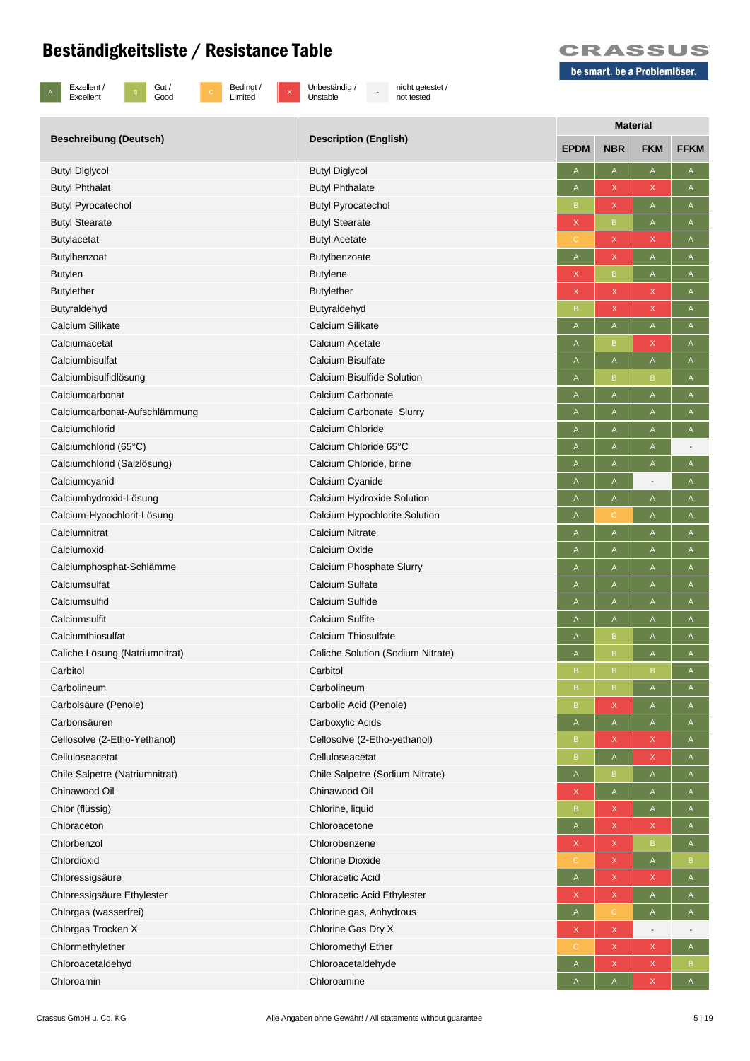c Bedingt /<br>Limited



B Gut /<br>Good

x Unbeständig /<br>Unstable

- nicht getestet / not tested



|                                |                                   | <b>Material</b>           |                                                                       |                                                                       |                                                                       |  |  |
|--------------------------------|-----------------------------------|---------------------------|-----------------------------------------------------------------------|-----------------------------------------------------------------------|-----------------------------------------------------------------------|--|--|
| <b>Beschreibung (Deutsch)</b>  | <b>Description (English)</b>      | <b>EPDM</b>               | <b>NBR</b>                                                            | <b>FKM</b>                                                            | <b>FFKM</b>                                                           |  |  |
| <b>Butyl Diglycol</b>          | <b>Butyl Diglycol</b>             | A                         | A                                                                     | A                                                                     | A                                                                     |  |  |
| <b>Butyl Phthalat</b>          | <b>Butyl Phthalate</b>            | A                         | X                                                                     | X                                                                     | A                                                                     |  |  |
| <b>Butyl Pyrocatechol</b>      | <b>Butyl Pyrocatechol</b>         | B                         | X                                                                     | $\mathsf A$                                                           | A                                                                     |  |  |
| <b>Butyl Stearate</b>          | <b>Butyl Stearate</b>             | X                         | B                                                                     | A                                                                     | A                                                                     |  |  |
| <b>Butylacetat</b>             | <b>Butyl Acetate</b>              |                           | X                                                                     | X                                                                     | A                                                                     |  |  |
| <b>Butylbenzoat</b>            | Butylbenzoate                     | A                         | X                                                                     | A                                                                     | A                                                                     |  |  |
| <b>Butylen</b>                 | <b>Butylene</b>                   | $\boldsymbol{\mathsf{X}}$ | $\mathsf B$                                                           | A                                                                     | A                                                                     |  |  |
| <b>Butylether</b>              | <b>Butylether</b>                 | X                         | X                                                                     | X                                                                     | A                                                                     |  |  |
| Butyraldehyd                   | Butyraldehyd                      | B                         | X                                                                     | X                                                                     | A                                                                     |  |  |
| Calcium Silikate               | Calcium Silikate                  | A                         | $\mathsf{A}% _{\mathsf{A}}^{\prime}=\mathsf{A}_{\mathsf{A}}^{\prime}$ | $\mathsf{A}% _{\mathsf{A}}^{\prime}=\mathsf{A}_{\mathsf{A}}^{\prime}$ | A                                                                     |  |  |
| Calciumacetat                  | Calcium Acetate                   | A                         | B                                                                     | X                                                                     | A                                                                     |  |  |
| Calciumbisulfat                | Calcium Bisulfate                 | A                         | $\mathsf{A}% _{\mathsf{A}}^{\prime}=\mathsf{A}_{\mathsf{A}}^{\prime}$ | $\mathsf{A}% _{\mathsf{A}}^{\prime}=\mathsf{A}_{\mathsf{A}}^{\prime}$ | A                                                                     |  |  |
| Calciumbisulfidlösung          | Calcium Bisulfide Solution        | A                         | B.                                                                    | B                                                                     | A                                                                     |  |  |
| Calciumcarbonat                | Calcium Carbonate                 | A                         | A                                                                     | $\mathsf A$                                                           | A                                                                     |  |  |
| Calciumcarbonat-Aufschlämmung  | Calcium Carbonate Slurry          | A                         | A                                                                     | A                                                                     | A                                                                     |  |  |
| Calciumchlorid                 | Calcium Chloride                  | A                         | Α                                                                     | Α                                                                     | A                                                                     |  |  |
| Calciumchlorid (65°C)          | Calcium Chloride 65°C             | A                         | A                                                                     | A                                                                     |                                                                       |  |  |
| Calciumchlorid (Salzlösung)    | Calcium Chloride, brine           | A                         | A                                                                     | A                                                                     | $\boldsymbol{\mathsf{A}}$                                             |  |  |
| Calciumcyanid                  | Calcium Cyanide                   | A                         | A                                                                     | $\overline{\phantom{a}}$                                              | A                                                                     |  |  |
| Calciumhydroxid-Lösung         | Calcium Hydroxide Solution        | A                         | A                                                                     | A                                                                     | A                                                                     |  |  |
| Calcium-Hypochlorit-Lösung     | Calcium Hypochlorite Solution     | A                         | С                                                                     | A                                                                     | A                                                                     |  |  |
| Calciumnitrat                  | <b>Calcium Nitrate</b>            | A                         | A                                                                     | A                                                                     | A                                                                     |  |  |
| Calciumoxid                    | Calcium Oxide                     | A                         | A                                                                     | Α                                                                     | A                                                                     |  |  |
| Calciumphosphat-Schlämme       | Calcium Phosphate Slurry          | A                         | A                                                                     | Α                                                                     | A                                                                     |  |  |
| Calciumsulfat                  | Calcium Sulfate                   | A                         | A                                                                     | A                                                                     | A                                                                     |  |  |
| Calciumsulfid                  | Calcium Sulfide                   | A                         | A                                                                     | A                                                                     | A                                                                     |  |  |
| Calciumsulfit                  | <b>Calcium Sulfite</b>            | A                         | A                                                                     | A                                                                     | A                                                                     |  |  |
| Calciumthiosulfat              | Calcium Thiosulfate               | A                         | B                                                                     | A                                                                     | A                                                                     |  |  |
| Caliche Lösung (Natriumnitrat) | Caliche Solution (Sodium Nitrate) | A                         | B                                                                     | A                                                                     | A                                                                     |  |  |
| Carbitol                       | Carbitol                          | B                         | B.                                                                    | B                                                                     | A                                                                     |  |  |
| Carbolineum                    | Carbolineum                       | B                         | $\sf{B}$                                                              | A                                                                     | A                                                                     |  |  |
| Carbolsäure (Penole)           | Carbolic Acid (Penole)            | $\sf B$                   | X                                                                     | A                                                                     | A                                                                     |  |  |
| Carbonsäuren                   | Carboxylic Acids                  | A                         | A                                                                     | A                                                                     | A                                                                     |  |  |
| Cellosolve (2-Etho-Yethanol)   | Cellosolve (2-Etho-yethanol)      | B                         | X                                                                     | $\mathsf X$                                                           | A                                                                     |  |  |
| Celluloseacetat                | Celluloseacetat                   | B                         | $\mathsf{A}% _{\mathsf{A}}^{\prime}=\mathsf{A}_{\mathsf{A}}^{\prime}$ | $\mathsf X$                                                           | A                                                                     |  |  |
| Chile Salpetre (Natriumnitrat) | Chile Salpetre (Sodium Nitrate)   | A                         | B                                                                     | A                                                                     | A                                                                     |  |  |
| Chinawood Oil                  | Chinawood Oil                     | X                         | $\mathsf{A}$                                                          | A                                                                     | A                                                                     |  |  |
| Chlor (flüssig)                | Chlorine, liquid                  | B                         | X                                                                     | A                                                                     | A                                                                     |  |  |
| Chloraceton                    | Chloroacetone                     | A                         | X                                                                     | X                                                                     | A                                                                     |  |  |
| Chlorbenzol                    | Chlorobenzene                     | X                         | X                                                                     | $\mathsf B$                                                           | A                                                                     |  |  |
| Chlordioxid                    | <b>Chlorine Dioxide</b>           | С                         | X                                                                     | $\mathsf A$                                                           | B                                                                     |  |  |
| Chloressigsäure                | Chloracetic Acid                  | $\mathsf{A}$              | X                                                                     | X                                                                     | A                                                                     |  |  |
| Chloressigsäure Ethylester     | Chloracetic Acid Ethylester       | X                         | X                                                                     | $\mathsf{A}$                                                          | $\mathsf{A}$                                                          |  |  |
| Chlorgas (wasserfrei)          | Chlorine gas, Anhydrous           | A                         | C.                                                                    | A                                                                     | A                                                                     |  |  |
| Chlorgas Trocken X             | Chlorine Gas Dry X                | X                         | X                                                                     | $\overline{\phantom{a}}$                                              |                                                                       |  |  |
| Chlormethylether               | <b>Chloromethyl Ether</b>         | C                         | X                                                                     | X                                                                     | A                                                                     |  |  |
| Chloroacetaldehyd              | Chloroacetaldehyde                | A                         | X                                                                     | X                                                                     | B                                                                     |  |  |
| Chloroamin                     | Chloroamine                       | A                         | A                                                                     |                                                                       | $\mathsf{A}% _{\mathsf{A}}^{\prime}=\mathsf{A}_{\mathsf{A}}^{\prime}$ |  |  |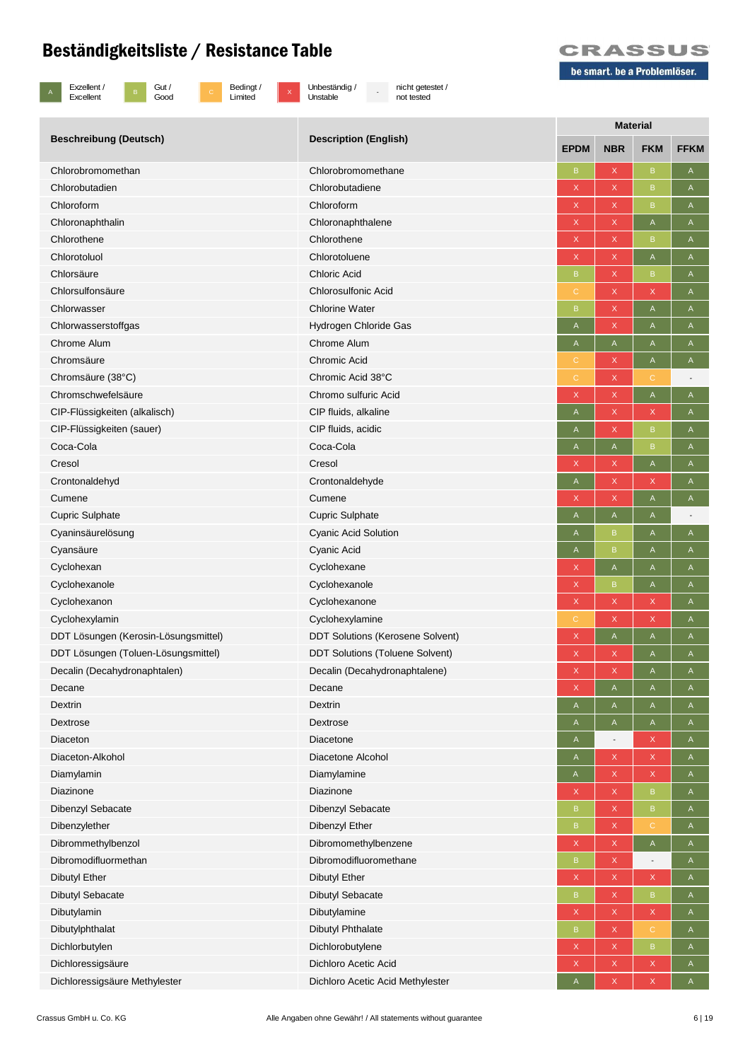



x Unbeständig /<br>Unstable

- nicht getestet / not tested



| <b>Beschreibung (Deutsch)</b><br><b>Description (English)</b><br><b>EPDM</b><br><b>NBR</b><br><b>FKM</b><br>X<br>$\sf{B}$<br>Chlorobromomethan<br>Chlorobromomethane<br>B<br>Α    |  | <b>Material</b> |  |  |             |  |  |
|-----------------------------------------------------------------------------------------------------------------------------------------------------------------------------------|--|-----------------|--|--|-------------|--|--|
|                                                                                                                                                                                   |  |                 |  |  | <b>FFKM</b> |  |  |
|                                                                                                                                                                                   |  |                 |  |  |             |  |  |
| Chlorobutadien<br>Chlorobutadiene<br>X<br>$\, {\bf B}$<br>X<br>Α                                                                                                                  |  |                 |  |  |             |  |  |
| Chloroform<br>Chloroform<br>$\mathsf X$<br>X<br>B<br>A                                                                                                                            |  |                 |  |  |             |  |  |
| Chloronaphthalin<br>Chloronaphthalene<br>X<br>A<br>X<br>A                                                                                                                         |  |                 |  |  |             |  |  |
| Chlorothene<br>Chlorothene<br>$\mathsf X$<br>X<br>$\mathsf B$<br>A                                                                                                                |  |                 |  |  |             |  |  |
| Chlorotoluol<br>Chlorotoluene<br>$\mathsf X$<br>X<br>A<br>Α                                                                                                                       |  |                 |  |  |             |  |  |
| <b>Chloric Acid</b><br>Chlorsäure<br>X<br>$\mathsf B$<br>B<br>A                                                                                                                   |  |                 |  |  |             |  |  |
| Chlorsulfonsäure<br><b>Chlorosulfonic Acid</b><br>X<br>$\mathsf X$<br>$\mathsf A$<br>C                                                                                            |  |                 |  |  |             |  |  |
| <b>Chlorine Water</b><br>X<br>$\mathsf{A}% _{\mathsf{A}}^{\prime}=\mathsf{A}_{\mathsf{A}}^{\prime}$<br>Chlorwasser<br>B<br>A                                                      |  |                 |  |  |             |  |  |
| $\mathsf A$<br>Chlorwasserstoffgas<br>Hydrogen Chloride Gas<br>X<br>$\mathsf A$<br>A                                                                                              |  |                 |  |  |             |  |  |
| <b>Chrome Alum</b><br>Chrome Alum<br>A<br>A<br>Α<br>A                                                                                                                             |  |                 |  |  |             |  |  |
| Chromsäure<br>Chromic Acid<br>X<br>A<br>A<br>C                                                                                                                                    |  |                 |  |  |             |  |  |
| Chromic Acid 38°C<br>Chromsäure (38°C)<br>X<br>$\mathsf{C}$<br>C<br>$\overline{a}$                                                                                                |  |                 |  |  |             |  |  |
| $\mathsf A$<br>Chromschwefelsäure<br>Chromo sulfuric Acid<br>$\mathsf X$<br>X<br>A                                                                                                |  |                 |  |  |             |  |  |
| CIP fluids, alkaline<br>CIP-Flüssigkeiten (alkalisch)<br>X<br>X<br>A<br>A                                                                                                         |  |                 |  |  |             |  |  |
| CIP fluids, acidic<br>X<br>CIP-Flüssigkeiten (sauer)<br>$\mathsf B$<br>A<br>A                                                                                                     |  |                 |  |  |             |  |  |
| Coca-Cola<br>Coca-Cola<br>$\mathsf A$<br>$\mathsf B$<br>$\mathsf A$<br>$\mathsf A$                                                                                                |  |                 |  |  |             |  |  |
| $\mathsf{A}% _{\mathsf{A}}^{\prime}=\mathsf{A}_{\mathsf{A}}^{\prime}$<br>Cresol<br>Cresol<br>X<br>X<br>A                                                                          |  |                 |  |  |             |  |  |
| Crontonaldehyd<br>Crontonaldehyde<br>X<br>X<br>A<br>$\mathsf{A}$                                                                                                                  |  |                 |  |  |             |  |  |
| Cumene<br>$\mathsf{A}% _{\mathsf{A}}^{\prime}=\mathsf{A}_{\mathsf{A}}^{\prime}$<br>Cumene<br>X<br>$\mathsf A$<br>X                                                                |  |                 |  |  |             |  |  |
| $\mathsf A$<br><b>Cupric Sulphate</b><br><b>Cupric Sulphate</b><br>$\mathsf A$<br>A                                                                                               |  |                 |  |  |             |  |  |
| Cyaninsäurelösung<br><b>Cyanic Acid Solution</b><br>B<br>Α<br>A<br>A                                                                                                              |  |                 |  |  |             |  |  |
| Cyanic Acid<br>Cyansäure<br>B<br>A<br>A<br>A                                                                                                                                      |  |                 |  |  |             |  |  |
| $\mathsf{A}% _{\mathsf{A}}^{\prime}=\mathsf{A}_{\mathsf{A}}^{\prime}$<br>Cyclohexan<br>Cyclohexane<br>X<br>A<br>$\mathsf A$                                                       |  |                 |  |  |             |  |  |
| $\mathsf X$<br>$\mathsf A$<br>Cyclohexanole<br>Cyclohexanole<br>B<br>A                                                                                                            |  |                 |  |  |             |  |  |
| Cyclohexanon<br>Cyclohexanone<br>$\mathsf X$<br>X<br>X<br>Α                                                                                                                       |  |                 |  |  |             |  |  |
| Cyclohexylamin<br>Cyclohexylamine<br>X<br>X<br>$\mathbb C$<br>A                                                                                                                   |  |                 |  |  |             |  |  |
| $\mathsf{A}% _{\mathsf{A}}^{\prime}=\mathsf{A}_{\mathsf{A}}^{\prime}$<br>DDT Lösungen (Kerosin-Lösungsmittel)<br><b>DDT Solutions (Kerosene Solvent)</b><br>$\mathsf X$<br>A<br>A |  |                 |  |  |             |  |  |
| <b>DDT Solutions (Toluene Solvent)</b><br>DDT Lösungen (Toluen-Lösungsmittel)<br>X<br>X<br>A<br>A                                                                                 |  |                 |  |  |             |  |  |
| $\mathsf{X}$<br>Decalin (Decahydronaphtalen)<br>Decalin (Decahydronaphtalene)<br>X<br>A<br>A                                                                                      |  |                 |  |  |             |  |  |
| $\mathsf{A}% _{\mathsf{A}}^{\prime}=\mathsf{A}_{\mathsf{A}}^{\prime}$<br>Decane<br>Decane<br>X<br>A<br>$\mathsf A$                                                                |  |                 |  |  |             |  |  |
| Dextrin<br>$\mathsf A$<br>Dextrin<br>$\mathsf A$<br>A<br>A                                                                                                                        |  |                 |  |  |             |  |  |
| Dextrose<br>Dextrose<br>$\mathsf{A}% _{\mathsf{A}}^{\prime}=\mathsf{A}_{\mathsf{A}}^{\prime}$<br>A<br>$\mathsf A$<br>A                                                            |  |                 |  |  |             |  |  |
| Diaceton<br>Diacetone<br>X<br>A<br>A<br>$\overline{\phantom{a}}$                                                                                                                  |  |                 |  |  |             |  |  |
| Diaceton-Alkohol<br>Diacetone Alcohol<br>X<br>X<br>$\mathsf{A}$<br>A                                                                                                              |  |                 |  |  |             |  |  |
| Diamylamin<br>X<br>X<br>Diamylamine<br>Α<br>A                                                                                                                                     |  |                 |  |  |             |  |  |
| Diazinone<br>Diazinone<br>X<br>$\mathsf X$<br>$\, {\bf B}$<br>Α                                                                                                                   |  |                 |  |  |             |  |  |
| Dibenzyl Sebacate<br>Dibenzyl Sebacate<br>X<br>$\mathsf B$<br>$\mathsf A$<br>B                                                                                                    |  |                 |  |  |             |  |  |
| Dibenzylether<br>Dibenzyl Ether<br>$\mathsf{C}$<br>X<br>B<br>A                                                                                                                    |  |                 |  |  |             |  |  |
| $\mathsf A$<br>Dibrommethylbenzol<br>Dibromomethylbenzene<br>$\mathsf X$<br>X<br>$\mathsf A$                                                                                      |  |                 |  |  |             |  |  |
| Dibromodifluormethan<br>Dibromodifluoromethane<br>X<br>B<br>A<br>$\overline{\phantom{a}}$                                                                                         |  |                 |  |  |             |  |  |
| Dibutyl Ether<br><b>Dibutyl Ether</b><br>X<br>X<br>X<br>$\mathsf A$                                                                                                               |  |                 |  |  |             |  |  |
| <b>Dibutyl Sebacate</b><br><b>Dibutyl Sebacate</b><br>X<br>$\, {\sf B}$<br>B<br>A                                                                                                 |  |                 |  |  |             |  |  |
| $\mathsf X$<br>$\mathsf X$<br>Dibutylamin<br>Dibutylamine<br>X<br>$\mathsf A$                                                                                                     |  |                 |  |  |             |  |  |
| X<br>$\mathbf C$<br>Dibutylphthalat<br><b>Dibutyl Phthalate</b><br>$\sf B$<br>$\mathsf A$                                                                                         |  |                 |  |  |             |  |  |
| $\mathsf B$<br>Dichlorbutylen<br>Dichlorobutylene<br>$\mathsf X$<br>X<br>A                                                                                                        |  |                 |  |  |             |  |  |
| Dichloressigsäure<br>Dichloro Acetic Acid<br>X<br>X<br>X<br>A                                                                                                                     |  |                 |  |  |             |  |  |
| Dichloressigsäure Methylester<br>Dichloro Acetic Acid Methylester<br>X<br>X<br>$\mathsf A$<br>$\mathsf A$                                                                         |  |                 |  |  |             |  |  |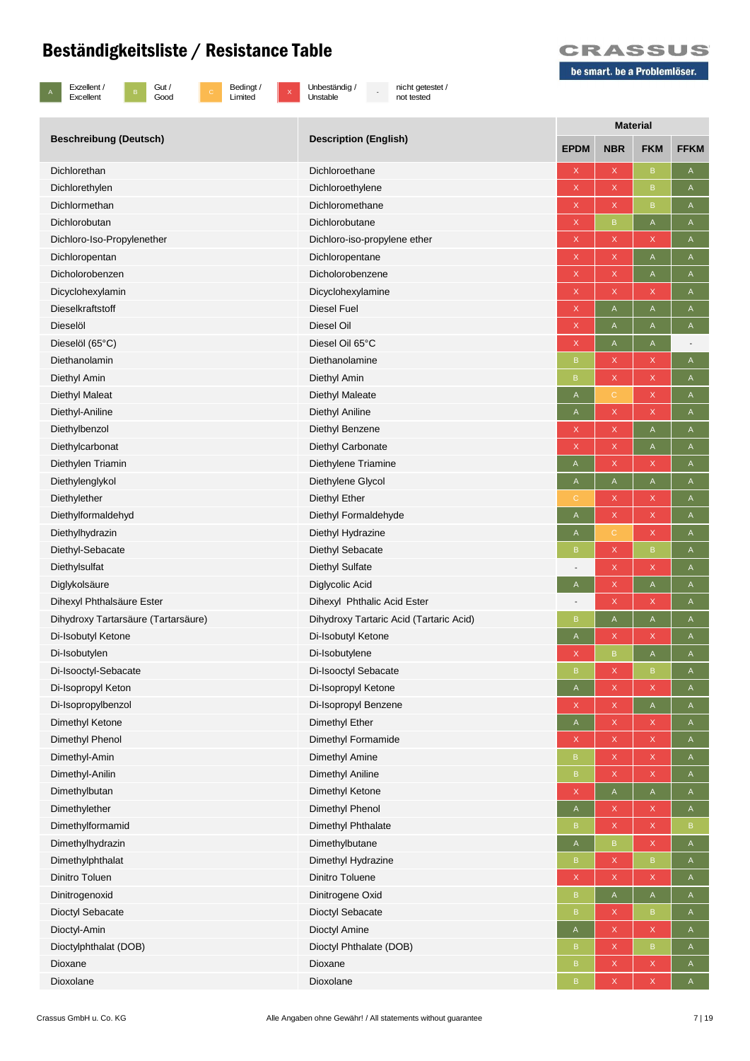

B Gut /<br>Good

c Bedingt /<br>Limited

x Unbeständig /<br>Unstable

- nicht getestet / not tested



|                                     | <b>Description (English)</b>            | <b>Material</b>           |                                      |                                                                       |                |  |  |
|-------------------------------------|-----------------------------------------|---------------------------|--------------------------------------|-----------------------------------------------------------------------|----------------|--|--|
| <b>Beschreibung (Deutsch)</b>       |                                         | <b>EPDM</b>               | <b>NBR</b>                           | <b>FKM</b>                                                            | <b>FFKM</b>    |  |  |
| Dichlorethan                        | Dichloroethane                          | X                         | X                                    | $\, {\bf B}$                                                          | A              |  |  |
| Dichlorethylen                      | Dichloroethylene                        | $\mathsf X$               | X                                    | $\, {\bf B}$                                                          | A              |  |  |
| Dichlormethan                       | Dichloromethane                         | $\mathsf X$               | X                                    | $\mathsf B$                                                           | Α              |  |  |
| Dichlorobutan                       | Dichlorobutane                          | $\mathsf X$               | B                                    | A                                                                     | A              |  |  |
| Dichloro-Iso-Propylenether          | Dichloro-iso-propylene ether            | $\mathsf X$               | X.                                   | X                                                                     | A              |  |  |
| Dichloropentan                      | Dichloropentane                         | $\mathsf X$               | X                                    | $\mathsf A$                                                           | A              |  |  |
| Dicholorobenzen                     | Dicholorobenzene                        | $\mathsf X$               | X                                    | $\mathsf A$                                                           | A              |  |  |
| Dicyclohexylamin                    | Dicyclohexylamine                       | $\mathsf X$               | X                                    | X                                                                     | $\mathsf A$    |  |  |
| Dieselkraftstoff                    | Diesel Fuel                             | $\mathsf X$               | A                                    | A                                                                     | A              |  |  |
| Dieselöl                            | Diesel Oil                              | $\mathsf X$               | A                                    | A                                                                     | A              |  |  |
| Dieselöl (65°C)                     | Diesel Oil 65°C                         | $\mathsf X$               | A                                    | A                                                                     | $\overline{a}$ |  |  |
| Diethanolamin                       | Diethanolamine                          | B                         | X                                    | X                                                                     | $\mathsf A$    |  |  |
| Diethyl Amin                        | Diethyl Amin                            | B                         | X                                    | X                                                                     | A              |  |  |
| <b>Diethyl Maleat</b>               | Diethyl Maleate                         | A                         | C                                    | $\mathsf X$                                                           | A              |  |  |
| Diethyl-Aniline                     | Diethyl Aniline                         | $\boldsymbol{\mathsf{A}}$ | X                                    | $\mathsf X$                                                           | $\mathsf A$    |  |  |
| Diethylbenzol                       | Diethyl Benzene                         | X                         | X                                    | A                                                                     | A              |  |  |
| Diethylcarbonat                     | Diethyl Carbonate                       | X                         | X                                    | A                                                                     | A              |  |  |
| Diethylen Triamin                   | Diethylene Triamine                     | Α                         | X                                    | X                                                                     | A              |  |  |
| Diethylenglykol                     | Diethylene Glycol                       | A                         | A                                    | $\mathsf A$                                                           | Α              |  |  |
| Diethylether                        | Diethyl Ether                           |                           | X                                    | X                                                                     | A              |  |  |
| Diethylformaldehyd                  | Diethyl Formaldehyde                    | A                         | $\mathsf{X}^{\scriptscriptstyle{+}}$ | $\mathsf X$                                                           | A              |  |  |
| Diethylhydrazin                     | Diethyl Hydrazine                       | $\mathsf A$               | C                                    | $\mathsf X$                                                           | $\mathsf A$    |  |  |
| Diethyl-Sebacate                    | Diethyl Sebacate                        | B                         | X                                    | $\, {\bf B}$                                                          | A              |  |  |
| Diethylsulfat                       | Diethyl Sulfate                         |                           | X                                    | X                                                                     | A              |  |  |
| Diglykolsäure                       | Diglycolic Acid                         | A                         | X                                    | A                                                                     | A              |  |  |
| Dihexyl Phthalsäure Ester           | Dihexyl Phthalic Acid Ester             |                           | X                                    | X                                                                     | A              |  |  |
| Dihydroxy Tartarsäure (Tartarsäure) | Dihydroxy Tartaric Acid (Tartaric Acid) | B                         | A                                    | $\mathsf{A}% _{\mathsf{A}}^{\prime}=\mathsf{A}_{\mathsf{A}}^{\prime}$ | Α              |  |  |
| Di-Isobutyl Ketone                  | Di-Isobutyl Ketone                      | A                         | X                                    | X                                                                     | A              |  |  |
| Di-Isobutylen                       | Di-Isobutylene                          | X                         | B                                    | A                                                                     | A              |  |  |
| Di-Isooctyl-Sebacate                | Di-Isooctyl Sebacate                    | B                         | X                                    | $\mathsf B$                                                           | Α              |  |  |
| Di-Isopropyl Keton                  | Di-Isopropyl Ketone                     | A                         | X                                    | X                                                                     | $\mathsf{A}$   |  |  |
| Di-Isopropylbenzol                  | Di-Isopropyl Benzene                    | X                         | X                                    | A                                                                     | A              |  |  |
| Dimethyl Ketone                     | Dimethyl Ether                          | A                         | X                                    | X                                                                     | $\mathsf{A}$   |  |  |
| Dimethyl Phenol                     | Dimethyl Formamide                      | X                         | X                                    | X                                                                     | A              |  |  |
| Dimethyl-Amin                       | Dimethyl Amine                          | $\, {\bf B}$              | $\mathsf{X}$                         | $\mathsf X$                                                           | A              |  |  |
| Dimethyl-Anilin                     | Dimethyl Aniline                        | $\sf B$                   | X                                    | X                                                                     | A              |  |  |
| Dimethylbutan                       | Dimethyl Ketone                         | $\boldsymbol{\mathsf{X}}$ | $\mathsf{A}$                         | $\mathsf{A}$                                                          | $\mathsf{A}$   |  |  |
| Dimethylether                       | Dimethyl Phenol                         | $\mathsf A$               | X                                    | X                                                                     | $\mathsf A$    |  |  |
| Dimethylformamid                    | Dimethyl Phthalate                      | B                         | X                                    | $\mathsf X$                                                           | $\, {\bf B}$   |  |  |
| Dimethylhydrazin                    | Dimethylbutane                          | $\mathsf A$               | B                                    | X                                                                     | $\mathsf A$    |  |  |
| Dimethylphthalat                    | Dimethyl Hydrazine                      | B                         | X                                    | $\, {\sf B}$                                                          | A              |  |  |
| Dinitro Toluen                      | Dinitro Toluene                         | $\mathsf X$               | X                                    | X                                                                     | $\mathsf{A}$   |  |  |
| Dinitrogenoxid                      | Dinitrogene Oxid                        | $\, {\sf B}$              | A                                    | $\mathsf{A}% _{\mathsf{A}}^{\prime}=\mathsf{A}_{\mathsf{A}}^{\prime}$ | A              |  |  |
| Dioctyl Sebacate                    | Dioctyl Sebacate                        | $\sf B$                   | X                                    | $\mathsf B$                                                           | A              |  |  |
| Dioctyl-Amin                        | Dioctyl Amine                           | A                         | X                                    | $\mathsf X$                                                           | A              |  |  |
| Dioctylphthalat (DOB)               | Dioctyl Phthalate (DOB)                 | B                         | $\mathsf{X}$                         | $\mathsf B$                                                           | $\mathsf{A}$   |  |  |
| Dioxane                             | Dioxane                                 | $\sf B$                   | X                                    | $\mathsf X$                                                           | A              |  |  |
| Dioxolane                           | Dioxolane                               | B                         | X                                    | X                                                                     | A              |  |  |
|                                     |                                         |                           |                                      |                                                                       |                |  |  |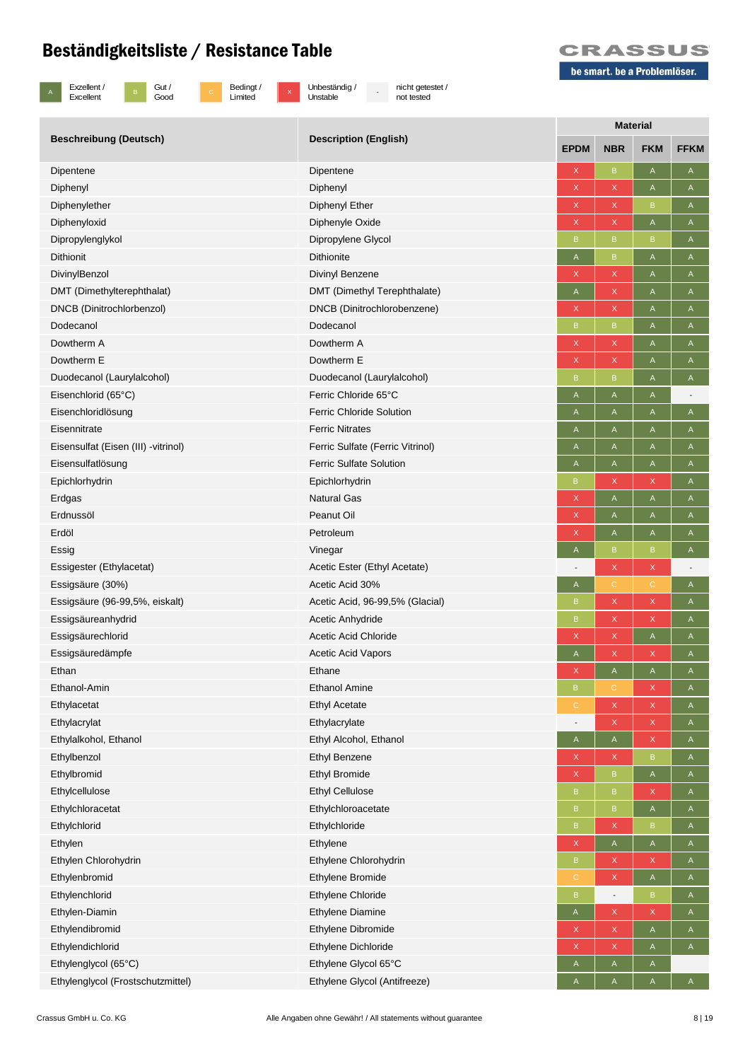

 $\begin{array}{|c|c|c|}\n\hline\n\text{B} & \text{Gust}\n\end{array}$ Good



 $\overline{x}$  Unbeständig / Unstable

- nicht getestet / not tested



|                                      | <b>Description (English)</b>     | <b>Material</b> |                                                                       |                |                          |  |  |
|--------------------------------------|----------------------------------|-----------------|-----------------------------------------------------------------------|----------------|--------------------------|--|--|
| <b>Beschreibung (Deutsch)</b>        |                                  | <b>EPDM</b>     | <b>NBR</b>                                                            | <b>FKM</b>     | <b>FFKM</b>              |  |  |
| Dipentene                            | Dipentene                        | X               | B                                                                     | $\mathsf{A}$   | A                        |  |  |
| Diphenyl                             | Diphenyl                         | $\mathsf X$     | X                                                                     | $\mathsf A$    | $\mathsf{A}$             |  |  |
| Diphenylether                        | Diphenyl Ether                   | X               | $\mathsf X$                                                           | $\, {\sf B}$   | A                        |  |  |
| Diphenyloxid                         | Diphenyle Oxide                  | X               | X                                                                     | $\mathsf A$    | A                        |  |  |
| Dipropylenglykol                     | Dipropylene Glycol               | B               | B                                                                     | $\, {\sf B}$   | A                        |  |  |
| <b>Dithionit</b>                     | <b>Dithionite</b>                | A               | B                                                                     | $\mathsf A$    | A                        |  |  |
| DivinylBenzol                        | <b>Divinyl Benzene</b>           | X               | X                                                                     | $\mathsf A$    | A                        |  |  |
| DMT (Dimethylterephthalat)           | DMT (Dimethyl Terephthalate)     | A               | X                                                                     | A              | A                        |  |  |
| DNCB (Dinitrochlorbenzol)            | DNCB (Dinitrochlorobenzene)      | X               | X                                                                     | $\mathsf{A}$   | $\mathsf{A}$             |  |  |
| Dodecanol                            | Dodecanol                        | $\mathsf B$     | B                                                                     | A              | A                        |  |  |
| Dowtherm A                           | Dowtherm A                       | X               | $\mathsf X$                                                           | $\mathsf A$    | A                        |  |  |
| Dowtherm E                           | Dowtherm E                       | X               | X                                                                     | A              | A                        |  |  |
| Duodecanol (Laurylalcohol)           | Duodecanol (Laurylalcohol)       | B               | B                                                                     | A              | A                        |  |  |
| Eisenchlorid (65°C)                  | Ferric Chloride 65°C             | A               | A                                                                     | $\mathsf{A}$   |                          |  |  |
| Eisenchloridlösung                   | <b>Ferric Chloride Solution</b>  | A               | A                                                                     | $\mathsf A$    | $\mathsf{A}$             |  |  |
| Eisennitrate                         | <b>Ferric Nitrates</b>           | A               | Α                                                                     | $\mathsf A$    | $\mathsf A$              |  |  |
| Eisensulfat (Eisen (III) - vitrinol) | Ferric Sulfate (Ferric Vitrinol) | A               | A                                                                     | A              | $\mathsf{A}$             |  |  |
| Eisensulfatlösung                    | <b>Ferric Sulfate Solution</b>   | A               | A                                                                     | $\mathsf{A}$   | $\mathsf{A}$             |  |  |
| Epichlorhydrin                       | Epichlorhydrin                   | $\sf B$         | $\mathsf X$                                                           | $\mathsf X$    | $\mathsf A$              |  |  |
| Erdgas                               | <b>Natural Gas</b>               | X               | Α                                                                     | A              | A                        |  |  |
| Erdnussöl                            | Peanut Oil                       | X               | Α                                                                     | A              | A                        |  |  |
| Erdöl                                | Petroleum                        | X               | A                                                                     | $\mathsf A$    | $\mathsf{A}$             |  |  |
| Essig                                | Vinegar                          | $\mathsf A$     | $\mathsf B$                                                           | $\, {\bf B}$   | $\mathsf A$              |  |  |
| Essigester (Ethylacetat)             | Acetic Ester (Ethyl Acetate)     |                 | X                                                                     | X              | $\overline{\phantom{a}}$ |  |  |
| Essigsäure (30%)                     | Acetic Acid 30%                  | A               | $\mathbf C$                                                           | С              | $\mathsf{A}$             |  |  |
| Essigsäure (96-99,5%, eiskalt)       | Acetic Acid, 96-99,5% (Glacial)  | B               | X                                                                     | $\mathsf X$    | A                        |  |  |
| Essigsäureanhydrid                   | Acetic Anhydride                 | $\sf B$         | $\mathsf{X}$                                                          | $\mathsf X$    | $\mathsf A$              |  |  |
| Essigsäurechlorid                    | <b>Acetic Acid Chloride</b>      | X               | $\mathsf X$                                                           | $\mathsf{A}$   | A                        |  |  |
| Essigsäuredämpfe                     | <b>Acetic Acid Vapors</b>        | A               | X                                                                     | $\mathsf X$    | A                        |  |  |
| Ethan                                | Ethane                           | X               | $\mathsf A$                                                           | $\mathsf A$    | $\mathsf A$              |  |  |
| Ethanol-Amin                         | <b>Ethanol Amine</b>             | $\overline{B}$  |                                                                       | X              | $\mathsf{A}$             |  |  |
| Ethylacetat                          | <b>Ethyl Acetate</b>             | $\mathbb{C}$    | $\mathsf X$                                                           | $\mathsf X$    | $\mathsf{A}$             |  |  |
| Ethylacrylat                         | Ethylacrylate                    |                 | $\mathsf X$                                                           | $\mathsf X$    | $\mathsf{A}$             |  |  |
| Ethylalkohol, Ethanol                | Ethyl Alcohol, Ethanol           | $\mathsf{A}$    | $\mathsf{A}% _{\mathsf{A}}^{\prime}=\mathsf{A}_{\mathsf{A}}^{\prime}$ | $\mathsf X$    | $\mathsf{A}$             |  |  |
| Ethylbenzol                          | <b>Ethyl Benzene</b>             | X               | $\mathsf X$                                                           | $\, {\bf B}$   | A                        |  |  |
| Ethylbromid                          | <b>Ethyl Bromide</b>             | $\mathsf X$     | $\mathsf B$                                                           | $\mathsf{A}$   | A                        |  |  |
| Ethylcellulose                       | <b>Ethyl Cellulose</b>           | B               | $\mathsf B$                                                           | $\mathsf X$    | A                        |  |  |
| Ethylchloracetat                     | Ethylchloroacetate               | $\sf B$         | $\mathsf B$                                                           | $\mathsf{A}$   | $\mathsf{A}$             |  |  |
| Ethylchlorid                         | Ethylchloride                    | $\sf{B}$        | $\mathsf X$                                                           | $\, {\sf B}$   | $\mathsf{A}$             |  |  |
| Ethylen                              | Ethylene                         | $\mathsf X$     | A                                                                     | $\mathsf{A}$   | $\mathsf{A}$             |  |  |
| Ethylen Chlorohydrin                 | Ethylene Chlorohydrin            | $\sf B$         | $\mathsf X$                                                           | $\mathsf X$    | $\mathsf{A}$             |  |  |
| Ethylenbromid                        | Ethylene Bromide                 | $\mathbb{C}$    | $\mathsf X$                                                           | $\mathsf A$    | $\mathsf{A}$             |  |  |
| Ethylenchlorid                       | Ethylene Chloride                | $\sf{B}$        | $\overline{\phantom{a}}$                                              | $\, {\sf B}$   | A                        |  |  |
| Ethylen-Diamin                       | <b>Ethylene Diamine</b>          | A               | $\mathsf{X}% _{0}$                                                    | $\mathsf X$    | A                        |  |  |
| Ethylendibromid                      | Ethylene Dibromide               | X               | $\mathsf{X}% _{0}$                                                    | $\mathsf{A}$   | $\mathsf{A}$             |  |  |
| Ethylendichlorid                     | Ethylene Dichloride              | X               | $\mathsf X$                                                           | $\mathsf A$    | $\mathsf A$              |  |  |
| Ethylenglycol (65°C)                 | Ethylene Glycol 65°C             | A               | A                                                                     | $\mathsf{A}$   |                          |  |  |
| Ethylenglycol (Frostschutzmittel)    | Ethylene Glycol (Antifreeze)     | $\overline{A}$  | A                                                                     | $\overline{A}$ | $\mathsf{A}^-$           |  |  |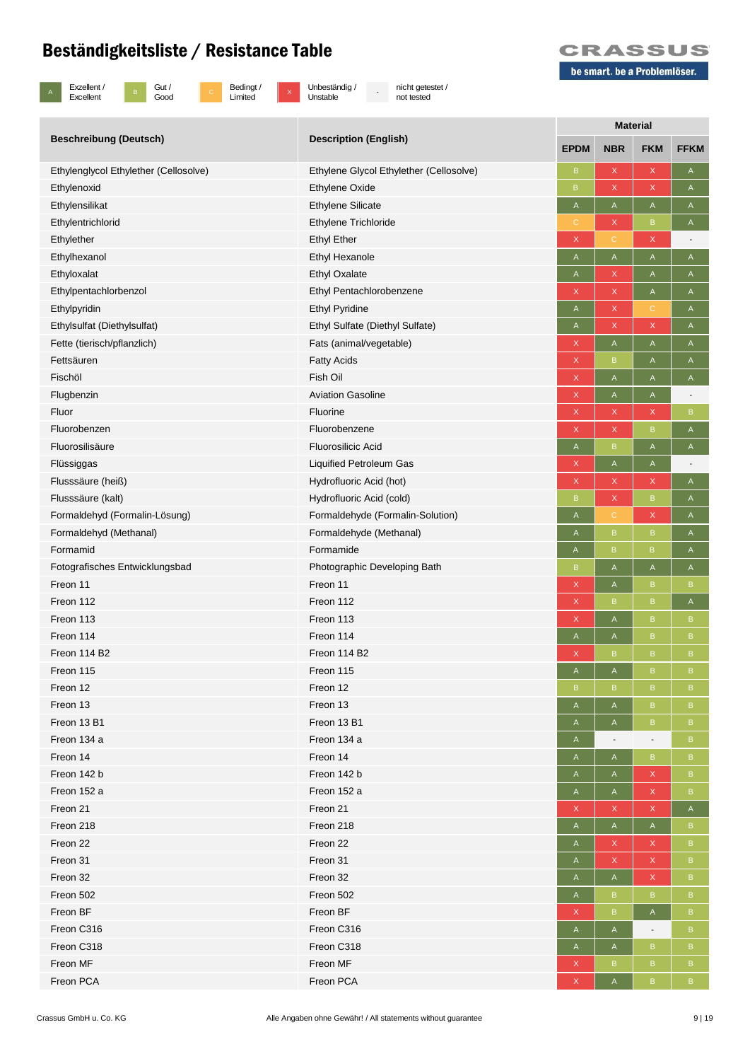

A Exzellent / Excellent



 $\overline{x}$  Unbeständig / Unstable

- nicht getestet / not tested

|                                       | <b>Description (English)</b>            | <b>Material</b> |                                                                       |                           |              |  |  |
|---------------------------------------|-----------------------------------------|-----------------|-----------------------------------------------------------------------|---------------------------|--------------|--|--|
| <b>Beschreibung (Deutsch)</b>         |                                         | <b>EPDM</b>     | <b>NBR</b>                                                            | <b>FKM</b>                | <b>FFKM</b>  |  |  |
| Ethylenglycol Ethylether (Cellosolve) | Ethylene Glycol Ethylether (Cellosolve) | B               | X                                                                     | $\mathsf X$               | A            |  |  |
| Ethylenoxid                           | <b>Ethylene Oxide</b>                   | B.              | $\mathsf{X}$                                                          | $\mathsf X$               | A            |  |  |
| Ethylensilikat                        | <b>Ethylene Silicate</b>                | A               | $\mathsf A$                                                           | $\mathsf A$               | A            |  |  |
| Ethylentrichlorid                     | Ethylene Trichloride                    | C               | X                                                                     | $\sf B$                   | A            |  |  |
| Ethylether                            | <b>Ethyl Ether</b>                      | X               | С                                                                     | $\mathsf X$               |              |  |  |
| Ethylhexanol                          | <b>Ethyl Hexanole</b>                   | A               | $\mathsf{A}% _{\mathsf{A}}^{\prime}=\mathsf{A}_{\mathsf{A}}^{\prime}$ | $\boldsymbol{\mathsf{A}}$ | A            |  |  |
| Ethyloxalat                           | <b>Ethyl Oxalate</b>                    | A               | $\mathsf X$                                                           | $\mathsf A$               | A            |  |  |
| Ethylpentachlorbenzol                 | Ethyl Pentachlorobenzene                | X               | $\mathsf X$                                                           | $\mathsf A$               | $\mathsf{A}$ |  |  |
| Ethylpyridin                          | <b>Ethyl Pyridine</b>                   | A               | X                                                                     | $\mathbb C$               | A            |  |  |
| Ethylsulfat (Diethylsulfat)           | Ethyl Sulfate (Diethyl Sulfate)         | A               | X                                                                     | $\mathsf{X}$              | A            |  |  |
| Fette (tierisch/pflanzlich)           | Fats (animal/vegetable)                 | X               | $\mathsf A$                                                           | $\mathsf A$               | A            |  |  |
| Fettsäuren                            | <b>Fatty Acids</b>                      | X               | $\mathsf B$                                                           | $\mathsf A$               | A            |  |  |
| Fischöl                               | Fish Oil                                | X               | A                                                                     | A                         | A            |  |  |
| Flugbenzin                            | <b>Aviation Gasoline</b>                | X               | $\mathsf A$                                                           | $\mathsf A$               |              |  |  |
| Fluor                                 | Fluorine                                | X               | $\mathsf X$                                                           | $\mathsf{X}$              | B            |  |  |
| Fluorobenzen                          | Fluorobenzene                           | X               | X                                                                     | $\, {\bf B}$              | A            |  |  |
| Fluorosilisäure                       | <b>Fluorosilicic Acid</b>               | A               | $\mathsf B$                                                           | $\mathsf A$               | A            |  |  |
| Flüssiggas                            | <b>Liquified Petroleum Gas</b>          | X               | A                                                                     | $\mathsf A$               |              |  |  |
| Flusssäure (heiß)                     | Hydrofluoric Acid (hot)                 | X               | X                                                                     | $\mathsf{X}$              | A            |  |  |
| Flusssäure (kalt)                     | Hydrofluoric Acid (cold)                | $\mathsf B$     | X                                                                     | $\sf B$                   | A            |  |  |
| Formaldehyd (Formalin-Lösung)         | Formaldehyde (Formalin-Solution)        | A               | $\mathbf C$                                                           | $\mathsf X$               | A            |  |  |
| Formaldehyd (Methanal)                | Formaldehyde (Methanal)                 | $\mathsf A$     | $\sf{B}$                                                              | $\sf{B}$                  | A            |  |  |
| Formamid                              | Formamide                               | A               | $\mathsf B$                                                           | $\sf{B}$                  | A            |  |  |
| Fotografisches Entwicklungsbad        | Photographic Developing Bath            | B               | A                                                                     | $\mathsf A$               | A            |  |  |
| Freon 11                              | Freon 11                                | X               | A                                                                     | B                         | B            |  |  |
| Freon 112                             | Freon 112                               | X               | $\mathsf B$                                                           | $\, {\bf B}$              | A            |  |  |
| Freon 113                             | Freon 113                               | X               | A                                                                     | $\, {\bf B}$              | $\mathsf B$  |  |  |
| Freon 114                             | Freon 114                               | A               | A                                                                     | $\sf B$                   | $\mathsf B$  |  |  |
| Freon 114 B2                          | <b>Freon 114 B2</b>                     | X               | B                                                                     | $\sf{B}$                  | B            |  |  |
| Freon 115                             | Freon 115                               | A               | A                                                                     | $\sf B$                   | B.           |  |  |
| Freon 12                              | Freon 12                                | B               | B                                                                     | B                         | B            |  |  |
| Freon 13                              | Freon 13                                | A               | A                                                                     | B                         | B            |  |  |
| Freon 13 B1                           | Freon 13 B1                             | A               | Α                                                                     | B                         | B            |  |  |
| Freon 134 a                           | Freon 134 a                             | A               | $\overline{\phantom{a}}$                                              | ÷,                        | B            |  |  |
| Freon 14                              | Freon 14                                | A               | Α                                                                     | $\, {\bf B}$              | B            |  |  |
| Freon 142 b                           | Freon 142 b                             | A               | A                                                                     | X                         | B            |  |  |
| Freon 152 a                           | Freon 152 a                             | A               | A                                                                     | $\mathsf X$               | B            |  |  |
| Freon 21                              | Freon 21                                | X               | X                                                                     | X                         | $\mathsf{A}$ |  |  |
| Freon 218                             | Freon 218                               | A               | A                                                                     | $\mathsf A$               | B            |  |  |
| Freon 22                              | Freon 22                                | A               | X                                                                     | X                         | $\, {\bf B}$ |  |  |
| Freon 31                              | Freon 31                                | A               | X                                                                     | X                         | B            |  |  |
| Freon 32                              | Freon 32                                | A               | A                                                                     | $\mathsf{X}$              | B.           |  |  |
| Freon 502                             | Freon 502                               | A               | $\mathsf B$                                                           | $\, {\bf B}$              | B            |  |  |
| Freon BF                              | Freon BF                                | X               | $\sf{B}$                                                              | $\mathsf A$               | B            |  |  |
| Freon C316                            | Freon C316                              | A               | A                                                                     | -                         | B            |  |  |
| Freon C318                            | Freon C318                              | A               | A                                                                     | $\sf B$                   | B            |  |  |
| Freon MF                              | Freon MF                                | X               | $\sf{B}$                                                              | B                         | B            |  |  |
| Freon PCA                             | Freon PCA                               | X               | $\mathsf A$                                                           | B                         | B.           |  |  |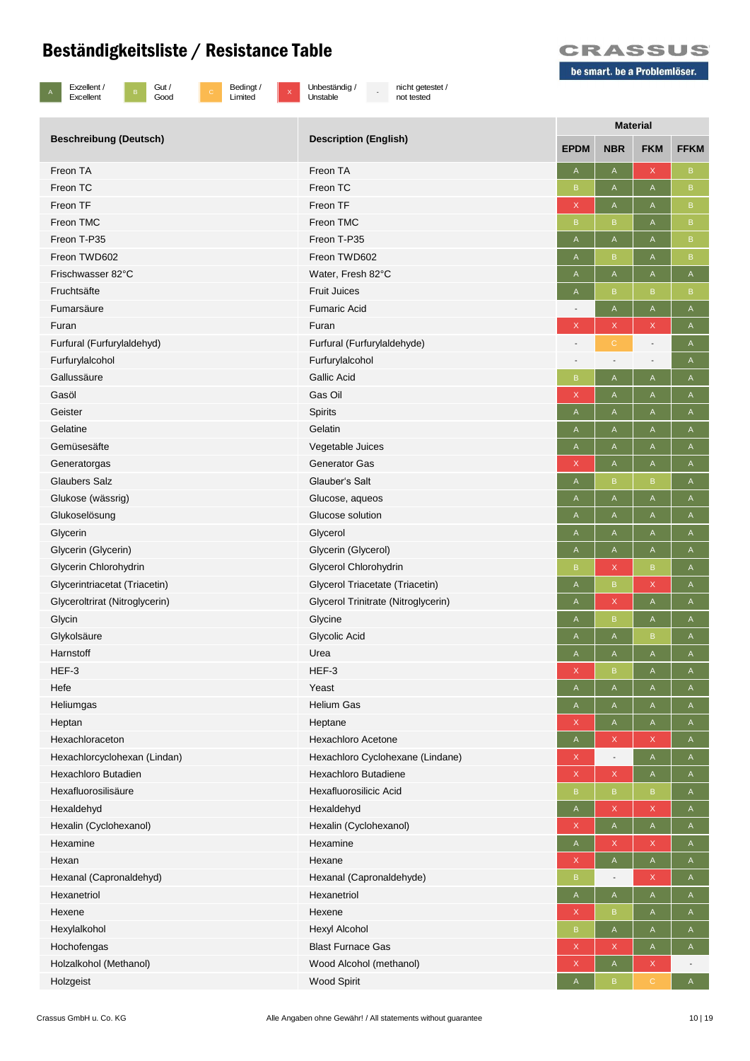B Gut /<br>Good



be smart. be a Problemlöser.

| Exzellent / |
|-------------|
| Excellent   |



<sup>X</sup> Unbeständig / Unstable

- nicht getestet / not tested

|                                |                                     | <b>Material</b>           |                          |                                                                       |              |  |  |
|--------------------------------|-------------------------------------|---------------------------|--------------------------|-----------------------------------------------------------------------|--------------|--|--|
| <b>Beschreibung (Deutsch)</b>  | <b>Description (English)</b>        | <b>EPDM</b>               | <b>NBR</b>               | <b>FKM</b>                                                            | <b>FFKM</b>  |  |  |
| Freon TA                       | Freon TA                            | Α                         | A                        | $\mathsf X$                                                           | $\, {\bf B}$ |  |  |
| Freon TC                       | Freon TC                            | B                         | A                        | $\mathsf{A}% _{\mathsf{A}}^{\prime}=\mathsf{A}_{\mathsf{A}}^{\prime}$ | B            |  |  |
| Freon TF                       | Freon TF                            | $\mathsf X$               | A                        | $\mathsf A$                                                           | B            |  |  |
| Freon TMC                      | Freon TMC                           | B                         | B                        | A                                                                     | $\, {\bf B}$ |  |  |
| Freon T-P35                    | Freon T-P35                         | A                         | A                        | A                                                                     | B            |  |  |
| Freon TWD602                   | Freon TWD602                        | A                         | B                        | A                                                                     | $\, {\bf B}$ |  |  |
| Frischwasser 82°C              | Water, Fresh 82°C                   | A                         | A                        | A                                                                     | A            |  |  |
| Fruchtsäfte                    | <b>Fruit Juices</b>                 | A                         | B                        | $\mathsf B$                                                           | $\mathsf B$  |  |  |
| Fumarsäure                     | <b>Fumaric Acid</b>                 |                           | A                        | A                                                                     | A            |  |  |
| Furan                          | Furan                               | $\mathsf X$               | X                        | $\mathsf X$                                                           | A            |  |  |
| Furfural (Furfurylaldehyd)     | Furfural (Furfurylaldehyde)         |                           | C                        | $\overline{\phantom{a}}$                                              | Α            |  |  |
| Furfurylalcohol                | Furfurylalcohol                     |                           |                          | $\overline{\phantom{a}}$                                              | A            |  |  |
| Gallussäure                    | <b>Gallic Acid</b>                  | B                         | A                        | A                                                                     | $\mathsf{A}$ |  |  |
| Gasöl                          | Gas Oil                             | X                         | A                        | A                                                                     | A            |  |  |
| Geister                        | Spirits                             | $\boldsymbol{\mathsf{A}}$ | Α                        | A                                                                     | A            |  |  |
| Gelatine                       | Gelatin                             | Α                         | Α                        | A                                                                     | A            |  |  |
| Gemüsesäfte                    | Vegetable Juices                    | A                         | A                        | A                                                                     | A            |  |  |
| Generatorgas                   | <b>Generator Gas</b>                | $\mathsf X$               | A                        | $\mathsf A$                                                           | $\mathsf A$  |  |  |
| <b>Glaubers Salz</b>           | Glauber's Salt                      | A                         | B                        | B                                                                     | A            |  |  |
| Glukose (wässrig)              | Glucose, aqueos                     | A                         | A                        | $\mathsf A$                                                           | Α            |  |  |
| Glukoselösung                  | Glucose solution                    | A                         | A                        | A                                                                     | A            |  |  |
| Glycerin                       | Glycerol                            | A                         | A                        | A                                                                     | $\mathsf A$  |  |  |
| Glycerin (Glycerin)            | Glycerin (Glycerol)                 | Α                         | A                        | A                                                                     | Α            |  |  |
| Glycerin Chlorohydrin          | Glycerol Chlorohydrin               | B                         | X                        | $\mathsf B$                                                           | Α            |  |  |
| Glycerintriacetat (Triacetin)  | Glycerol Triacetate (Triacetin)     | A                         | B                        | X                                                                     | Α            |  |  |
| Glyceroltrirat (Nitroglycerin) | Glycerol Trinitrate (Nitroglycerin) | A                         | X                        | $\mathsf A$                                                           | A            |  |  |
| Glycin                         | Glycine                             | A                         | B                        | A                                                                     | $\mathsf A$  |  |  |
| Glykolsäure                    | Glycolic Acid                       | Α                         | A                        | B                                                                     | Α            |  |  |
| Harnstoff                      | Urea                                | A                         | Α                        | A                                                                     | A            |  |  |
| HEF-3                          | HEF-3                               | X                         | B                        | A                                                                     | A            |  |  |
| Hefe                           | Yeast                               | A                         | A                        | A                                                                     | A            |  |  |
| Heliumgas                      | <b>Helium Gas</b>                   | A                         | A                        | A                                                                     | A            |  |  |
| Heptan                         | Heptane                             | X                         | A                        | A                                                                     | A            |  |  |
| Hexachloraceton                | <b>Hexachloro Acetone</b>           | A                         | X                        | $\mathsf X$                                                           | A            |  |  |
| Hexachlorcyclohexan (Lindan)   | Hexachloro Cyclohexane (Lindane)    | $\mathsf X$               | $\overline{\phantom{a}}$ | $\mathsf A$                                                           | A            |  |  |
| Hexachloro Butadien            | Hexachloro Butadiene                | $\boldsymbol{\mathsf{X}}$ | X                        | $\mathsf A$                                                           | A            |  |  |
| Hexafluorosilisäure            | Hexafluorosilicic Acid              | B                         | B                        | $\, {\bf B}$                                                          | A            |  |  |
| Hexaldehyd                     | Hexaldehyd                          | A                         | X                        | X                                                                     | $\mathsf{A}$ |  |  |
| Hexalin (Cyclohexanol)         | Hexalin (Cyclohexanol)              | $\mathsf X$               | A                        | $\mathsf A$                                                           | A            |  |  |
| Hexamine                       | Hexamine                            | $\mathsf A$               | X                        | X                                                                     | A            |  |  |
| Hexan                          | Hexane                              | $\mathsf X$               | A                        | $\mathsf A$                                                           | A            |  |  |
| Hexanal (Capronaldehyd)        | Hexanal (Capronaldehyde)            | B                         |                          | $\mathsf X$                                                           | $\mathsf{A}$ |  |  |
| Hexanetriol                    | Hexanetriol                         | $\mathsf{A}$              | A                        | $\mathsf A$                                                           | A            |  |  |
| Hexene                         | Hexene                              | X                         | B                        | A                                                                     | $\mathsf{A}$ |  |  |
| Hexylalkohol                   | Hexyl Alcohol                       | B                         | A                        | A                                                                     | $\mathsf{A}$ |  |  |
| Hochofengas                    | <b>Blast Furnace Gas</b>            | $\mathsf X$               | X                        | A                                                                     | A            |  |  |
| Holzalkohol (Methanol)         | Wood Alcohol (methanol)             | $\mathsf X$               | A                        | X                                                                     |              |  |  |
| Holzgeist                      | <b>Wood Spirit</b>                  | A                         | B                        | $\mathbb C$                                                           | $\mathsf{A}$ |  |  |
|                                |                                     |                           |                          |                                                                       |              |  |  |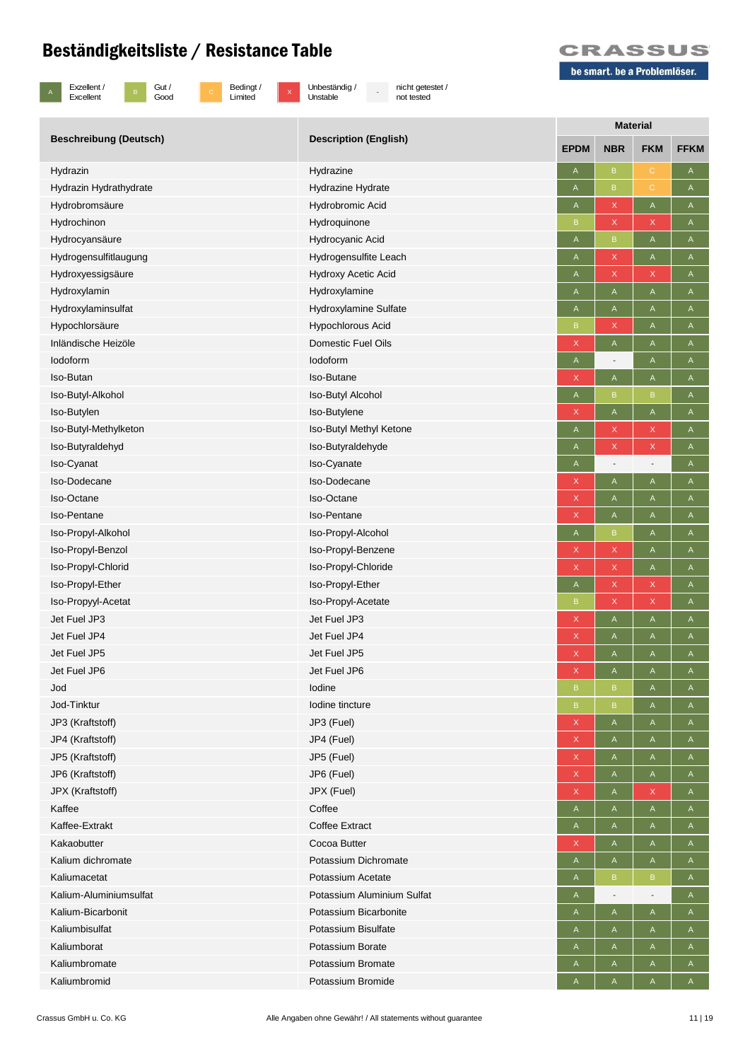

B Gut /<br>Good

c Bedingt /<br>Limited

x Unbeständig /<br>Unstable

- nicht getestet / not tested



|                               |                              | <b>Material</b> |                          |                           |              |  |  |
|-------------------------------|------------------------------|-----------------|--------------------------|---------------------------|--------------|--|--|
| <b>Beschreibung (Deutsch)</b> | <b>Description (English)</b> | <b>EPDM</b>     | <b>NBR</b>               | <b>FKM</b>                | <b>FFKM</b>  |  |  |
| Hydrazin                      | Hydrazine                    | Α               | $\mathsf B$              | $\mathsf C$               | A            |  |  |
| Hydrazin Hydrathydrate        | Hydrazine Hydrate            | A               | $\mathsf B$              | $\mathbf C$               | A            |  |  |
| Hydrobromsäure                | Hydrobromic Acid             | A               | X                        | $\mathsf A$               | A            |  |  |
| Hydrochinon                   | Hydroquinone                 | B               | X                        | X                         | A            |  |  |
| Hydrocyansäure                | Hydrocyanic Acid             | A               | B                        | $\mathsf A$               | $\mathsf{A}$ |  |  |
| Hydrogensulfitlaugung         | Hydrogensulfite Leach        | A               | X                        | $\mathsf A$               | $\mathsf A$  |  |  |
| Hydroxyessigsäure             | <b>Hydroxy Acetic Acid</b>   | $\mathsf A$     | X                        | $\mathsf X$               | $\mathsf{A}$ |  |  |
| Hydroxylamin                  | Hydroxylamine                | $\mathsf A$     | A                        | $\sf A$                   | $\mathsf A$  |  |  |
| Hydroxylaminsulfat            | Hydroxylamine Sulfate        | A               | A                        | A                         | A            |  |  |
| Hypochlorsäure                | Hypochlorous Acid            | B               | X                        | A                         | A            |  |  |
| Inländische Heizöle           | Domestic Fuel Oils           | X               | A                        | A                         | A            |  |  |
| lodoform                      | lodoform                     | $\mathsf{A}$    |                          | A                         | Α            |  |  |
| Iso-Butan                     | <b>Iso-Butane</b>            | X               | A                        | A                         | A            |  |  |
| Iso-Butyl-Alkohol             | Iso-Butyl Alcohol            | A               | B                        | $\sf{B}$                  | A            |  |  |
| Iso-Butylen                   | Iso-Butylene                 | $\mathsf X$     | A                        | $\boldsymbol{\mathsf{A}}$ | $\mathsf A$  |  |  |
| Iso-Butyl-Methylketon         | Iso-Butyl Methyl Ketone      | A               | X                        | X                         | A            |  |  |
| Iso-Butyraldehyd              | Iso-Butyraldehyde            | A               | X                        | $\mathsf X$               | A            |  |  |
| Iso-Cyanat                    | Iso-Cyanate                  | A               | $\overline{\phantom{a}}$ | $\overline{\phantom{a}}$  | A            |  |  |
| Iso-Dodecane                  | Iso-Dodecane                 | $\mathsf X$     | A                        | $\mathsf A$               | A            |  |  |
| Iso-Octane                    | Iso-Octane                   | $\mathsf X$     | A                        | A                         | A            |  |  |
| <b>Iso-Pentane</b>            | <b>Iso-Pentane</b>           | X               | A                        | A                         | $\mathsf{A}$ |  |  |
| Iso-Propyl-Alkohol            | Iso-Propyl-Alcohol           | $\mathsf A$     | B                        | $\mathsf A$               | $\mathsf A$  |  |  |
| Iso-Propyl-Benzol             | Iso-Propyl-Benzene           | $\mathsf X$     | X                        | A                         | A            |  |  |
| Iso-Propyl-Chlorid            | Iso-Propyl-Chloride          | X               | X                        | $\mathsf A$               | A            |  |  |
| Iso-Propyl-Ether              | Iso-Propyl-Ether             | A               | X                        | X                         | $\mathsf{A}$ |  |  |
| Iso-Propyyl-Acetat            | Iso-Propyl-Acetate           | $\sf B$         | X                        | X                         | A            |  |  |
| Jet Fuel JP3                  | Jet Fuel JP3                 | X               | A                        | $\mathsf A$               | A            |  |  |
| Jet Fuel JP4                  | Jet Fuel JP4                 | $\mathsf X$     | A                        | A                         | A            |  |  |
| Jet Fuel JP5                  | Jet Fuel JP5                 | X               | A                        | A                         | A            |  |  |
| Jet Fuel JP6                  | Jet Fuel JP6                 | $\mathsf X$     | A                        | $\mathsf A$               | A            |  |  |
| Jod                           | lodine                       | B               | B                        | A                         | $\mathsf{A}$ |  |  |
| Jod-Tinktur                   | Iodine tincture              | $\, {\sf B} \,$ | B                        | A                         | A            |  |  |
| JP3 (Kraftstoff)              | JP3 (Fuel)                   | $\mathsf X$     | A                        | A                         | A            |  |  |
| JP4 (Kraftstoff)              | JP4 (Fuel)                   | $\mathsf X$     | A                        | A                         | A            |  |  |
| JP5 (Kraftstoff)              | JP5 (Fuel)                   | $\mathsf X$     | A                        | A                         | A            |  |  |
| JP6 (Kraftstoff)              | JP6 (Fuel)                   | X               | A                        | A                         | A            |  |  |
| JPX (Kraftstoff)              | JPX (Fuel)                   | $\mathsf X$     | A                        | X                         | A            |  |  |
| Kaffee                        | Coffee                       | A               | A                        | $\mathsf A$               | A            |  |  |
| Kaffee-Extrakt                | <b>Coffee Extract</b>        | A               | $\mathsf{A}$             | $\mathsf A$               | A            |  |  |
| Kakaobutter                   | Cocoa Butter                 | X               | A                        | $\mathsf A$               | A            |  |  |
| Kalium dichromate             | Potassium Dichromate         | A               | A                        | A                         | A            |  |  |
| Kaliumacetat                  | Potassium Acetate            | A               | B                        | $\, {\bf B}$              | A            |  |  |
| Kalium-Aluminiumsulfat        | Potassium Aluminium Sulfat   | A               |                          | $\overline{\phantom{a}}$  | A            |  |  |
| Kalium-Bicarbonit             | Potassium Bicarbonite        | $\mathsf A$     | A                        | A                         | A            |  |  |
| Kaliumbisulfat                | Potassium Bisulfate          | A               | A                        | A                         | A            |  |  |
| Kaliumborat                   | Potassium Borate             | A               | A                        | A                         | $\mathsf{A}$ |  |  |
| Kaliumbromate                 | Potassium Bromate            | $\mathsf{A}$    | A                        | $\mathsf A$               | A            |  |  |
| Kaliumbromid                  | Potassium Bromide            | A               | A                        | A                         | A            |  |  |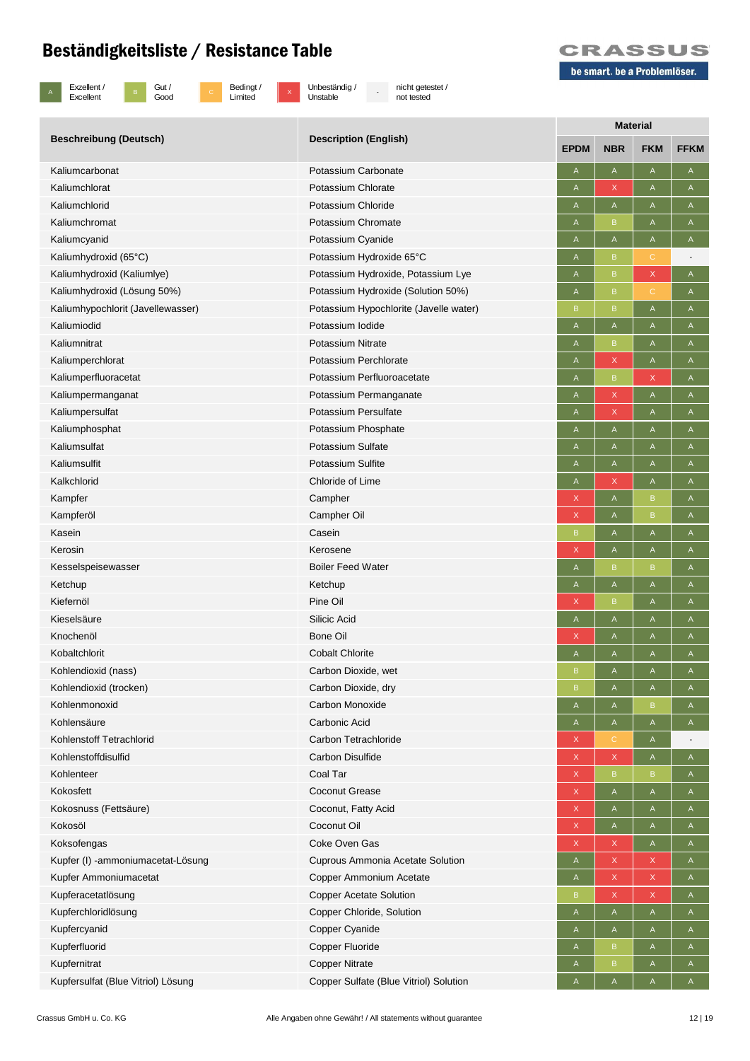

B Gut /<br>Good

c Bedingt /<br>Limited

x Unbeständig /<br>Unstable

- nicht getestet / not tested



| <b>Beschreibung (Deutsch)</b>      | <b>Description (English)</b>           | <b>Material</b> |              |                           |                                                                       |  |
|------------------------------------|----------------------------------------|-----------------|--------------|---------------------------|-----------------------------------------------------------------------|--|
|                                    |                                        | <b>EPDM</b>     | <b>NBR</b>   | <b>FKM</b>                | <b>FFKM</b>                                                           |  |
| Kaliumcarbonat                     | Potassium Carbonate                    | A               | A            | $\mathsf A$               | A                                                                     |  |
| Kaliumchlorat                      | Potassium Chlorate                     | A               | X            | Α                         | A                                                                     |  |
| Kaliumchlorid                      | Potassium Chloride                     | A               | A            | Α                         | A                                                                     |  |
| Kaliumchromat                      | Potassium Chromate                     | A               | B            | $\mathsf A$               | $\mathsf A$                                                           |  |
| Kaliumcyanid                       | Potassium Cyanide                      | A               | A            | $\mathsf A$               | $\mathsf A$                                                           |  |
| Kaliumhydroxid (65°C)              | Potassium Hydroxide 65°C               | A               | B            | С                         |                                                                       |  |
| Kaliumhydroxid (Kaliumlye)         | Potassium Hydroxide, Potassium Lye     | A               | B            | $\mathsf X$               | $\mathsf{A}$                                                          |  |
| Kaliumhydroxid (Lösung 50%)        | Potassium Hydroxide (Solution 50%)     | $\mathsf{A}$    | $\mathsf B$  | $\mathbb C$               | $\mathsf A$                                                           |  |
| Kaliumhypochlorit (Javellewasser)  | Potassium Hypochlorite (Javelle water) | B               | $\mathsf B$  | $\mathsf A$               | Α                                                                     |  |
| Kaliumiodid                        | Potassium Iodide                       | A               | A            | $\mathsf A$               | A                                                                     |  |
| Kaliumnitrat                       | <b>Potassium Nitrate</b>               | A               | B            | $\mathsf{A}$              | A                                                                     |  |
| Kaliumperchlorat                   | Potassium Perchlorate                  | A               | $\mathsf{X}$ | $\mathsf A$               | $\mathsf A$                                                           |  |
| Kaliumperfluoracetat               | Potassium Perfluoroacetate             | A               | B            | $\mathsf X$               | A                                                                     |  |
| Kaliumpermanganat                  | Potassium Permanganate                 | A               | X            | A                         | Α                                                                     |  |
| Kaliumpersulfat                    | Potassium Persulfate                   | A               | X            | $\mathsf{A}$              | A                                                                     |  |
| Kaliumphosphat                     | Potassium Phosphate                    | A               | A            | A                         | A                                                                     |  |
| Kaliumsulfat                       | Potassium Sulfate                      | A               | Α            | $\mathsf A$               | A                                                                     |  |
| Kaliumsulfit                       | Potassium Sulfite                      | A               | Α            | A                         | A                                                                     |  |
| Kalkchlorid                        | Chloride of Lime                       | A               | X            | A                         | A                                                                     |  |
| Kampfer                            | Campher                                | X               | A            | $\,$ B                    | A                                                                     |  |
| Kampferöl                          | Campher Oil                            | $\mathsf X$     | A            | $\, {\sf B}$              | A                                                                     |  |
| Kasein                             | Casein                                 | B               | A            | $\overline{A}$            | $\mathsf A$                                                           |  |
| Kerosin                            | Kerosene                               | X               | A            | A                         | $\mathsf{A}$                                                          |  |
| Kesselspeisewasser                 | <b>Boiler Feed Water</b>               | A               | B            | B                         | A                                                                     |  |
| Ketchup                            | Ketchup                                | A               | Α            | A                         | $\mathsf A$                                                           |  |
| Kiefernöl                          | Pine Oil                               | X               | B            | $\mathsf A$               | A                                                                     |  |
| Kieselsäure                        | Silicic Acid                           | A               | Α            | A                         | A                                                                     |  |
| Knochenöl                          | <b>Bone Oil</b>                        | X               | A            | $\mathsf A$               | A                                                                     |  |
| Kobaltchlorit                      | <b>Cobalt Chlorite</b>                 | A               | A            | $\mathsf A$               | $\mathsf A$                                                           |  |
| Kohlendioxid (nass)                | Carbon Dioxide, wet                    | B               | Α            | A                         | Α                                                                     |  |
| Kohlendioxid (trocken)             | Carbon Dioxide, dry                    | B               | A            | A                         | A                                                                     |  |
| Kohlenmonoxid                      | Carbon Monoxide                        | A               | A            | $\, {\sf B}$              | A                                                                     |  |
| Kohlensäure                        | Carbonic Acid                          | A               | A            | $\mathsf A$               | $\mathsf{A}% _{\mathsf{A}}^{\prime}=\mathsf{A}_{\mathsf{A}}^{\prime}$ |  |
| Kohlenstoff Tetrachlorid           | Carbon Tetrachloride                   | X               | С            | A                         |                                                                       |  |
| Kohlenstoffdisulfid                | <b>Carbon Disulfide</b>                | X               | $\mathsf X$  | A                         | A                                                                     |  |
| Kohlenteer                         | Coal Tar                               | X               | $\mathsf B$  | $\, {\bf B}$              | $\mathsf A$                                                           |  |
| Kokosfett                          | <b>Coconut Grease</b>                  | X               | A            | $\mathsf{A}$              | A                                                                     |  |
| Kokosnuss (Fettsäure)              | Coconut, Fatty Acid                    | X               | A            | $\boldsymbol{\mathsf{A}}$ | A                                                                     |  |
| Kokosöl                            | Coconut Oil                            | X               | A            | A                         | $\mathsf{A}$                                                          |  |
| Koksofengas                        | Coke Oven Gas                          | $\mathsf X$     | X            | $\mathsf{A}$              | $\mathsf{A}$                                                          |  |
| Kupfer (I) -ammoniumacetat-Lösung  | Cuprous Ammonia Acetate Solution       | A               | $\mathsf X$  | $\mathsf X$               | A                                                                     |  |
| Kupfer Ammoniumacetat              | Copper Ammonium Acetate                | A               | $\mathsf X$  | $\mathsf X$               | A                                                                     |  |
| Kupferacetatlösung                 | <b>Copper Acetate Solution</b>         | $\sf{B}$        | X            | $\mathsf X$               | A                                                                     |  |
| Kupferchloridlösung                | Copper Chloride, Solution              | A               | A            | $\mathsf A$               | $\mathsf{A}$                                                          |  |
| Kupfercyanid                       | Copper Cyanide                         | A               | A            | $\mathsf A$               | A                                                                     |  |
| Kupferfluorid                      | Copper Fluoride                        | A               | B            | A                         | A                                                                     |  |
| Kupfernitrat                       | <b>Copper Nitrate</b>                  | A               | $\mathsf B$  | $\mathsf{A}$              | $\mathsf{A}$                                                          |  |
| Kupfersulfat (Blue Vitriol) Lösung | Copper Sulfate (Blue Vitriol) Solution | Α               | A            | $\mathsf{A}$              | A                                                                     |  |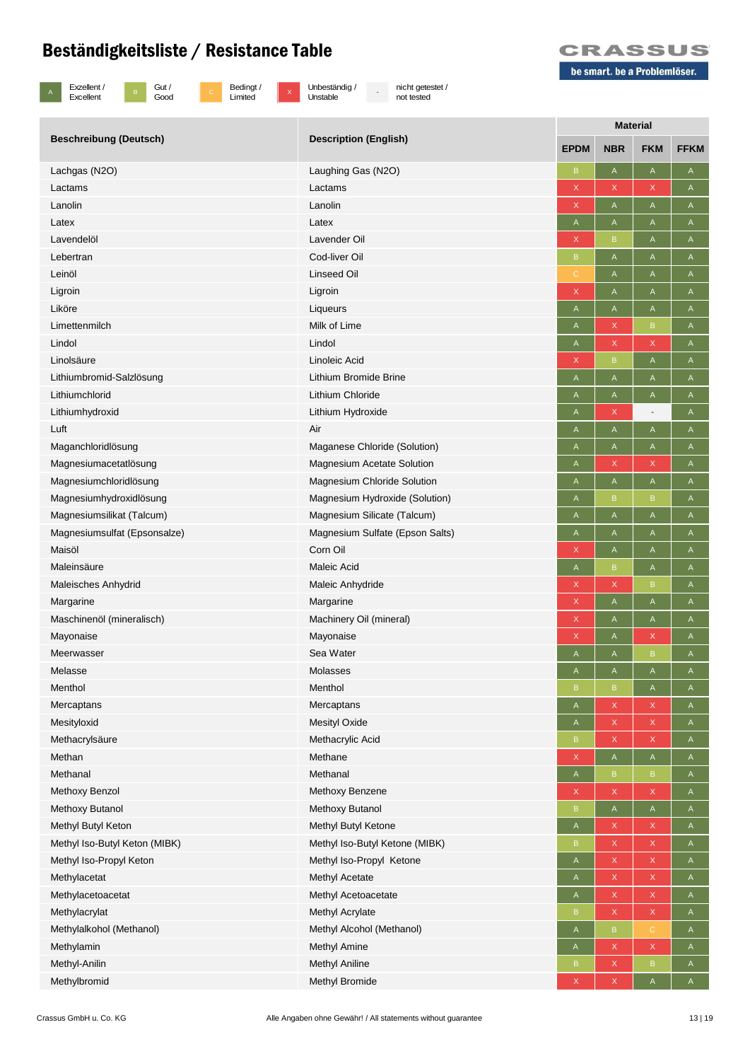



x Unbeständig /<br>Unstable

- nicht getestet / not tested



|                               | <b>Description (English)</b>      | <b>Material</b>           |             |                           |              |  |
|-------------------------------|-----------------------------------|---------------------------|-------------|---------------------------|--------------|--|
| <b>Beschreibung (Deutsch)</b> |                                   | <b>EPDM</b>               | <b>NBR</b>  | <b>FKM</b>                | <b>FFKM</b>  |  |
| Lachgas (N2O)                 | Laughing Gas (N2O)                | B                         | A           | $\mathsf A$               | Α            |  |
| Lactams                       | Lactams                           | X                         | X           | X                         | Α            |  |
| Lanolin                       | Lanolin                           | X                         | A           | A                         | A            |  |
| Latex                         | Latex                             | A                         | A           | A                         | A            |  |
| Lavendelöl                    | Lavender Oil                      | X                         | B           | A                         | Α            |  |
| Lebertran                     | Cod-liver Oil                     | B                         | A           | A                         | Α            |  |
| Leinöl                        | <b>Linseed Oil</b>                | С                         | Α           | A                         | A            |  |
| Ligroin                       | Ligroin                           | X                         | A           | $\mathsf A$               | A            |  |
| Liköre                        | Liqueurs                          | $\mathsf A$               | A           | $\mathsf A$               | A            |  |
| Limettenmilch                 | Milk of Lime                      | A                         | X           | $\mathsf B$               | Α            |  |
| Lindol                        | Lindol                            | A                         | X           | X                         | A            |  |
| Linolsäure                    | Linoleic Acid                     | X                         | B           | A                         | A            |  |
| Lithiumbromid-Salzlösung      | Lithium Bromide Brine             | A                         | A           | A                         | $\mathsf A$  |  |
| Lithiumchlorid                | Lithium Chloride                  | A                         | Α           | A                         | A            |  |
| Lithiumhydroxid               | Lithium Hydroxide                 | A                         | Χ           | $\overline{\phantom{a}}$  | A            |  |
| Luft                          | Air                               | A                         | A           | $\mathsf A$               | A            |  |
| Maganchloridlösung            | Maganese Chloride (Solution)      | A                         | A           | $\mathsf A$               | $\mathsf A$  |  |
| Magnesiumacetatlösung         | <b>Magnesium Acetate Solution</b> | A                         | X           | X                         | A            |  |
| Magnesiumchloridlösung        | Magnesium Chloride Solution       | Α                         | A           | A                         | A            |  |
| Magnesiumhydroxidlösung       | Magnesium Hydroxide (Solution)    | A                         | B           | $\mathsf B$               | A            |  |
| Magnesiumsilikat (Talcum)     | Magnesium Silicate (Talcum)       | A                         | A           | A                         | A            |  |
| Magnesiumsulfat (Epsonsalze)  | Magnesium Sulfate (Epson Salts)   | Α                         | Α           | A                         | A            |  |
| Maisöl                        | Corn Oil                          | X                         | Α           | A                         | A            |  |
| Maleinsäure                   | Maleic Acid                       | $\mathsf A$               | B           | $\mathsf A$               | $\mathsf A$  |  |
| Maleisches Anhydrid           | Maleic Anhydride                  | X                         | X           | B                         | A            |  |
| Margarine                     | Margarine                         | $\mathsf X$               | A           | A                         | Α            |  |
| Maschinenöl (mineralisch)     | Machinery Oil (mineral)           | X                         | A           | A                         | A            |  |
| Mayonaise                     | Mayonaise                         | $\boldsymbol{\mathsf{X}}$ | Α           | X                         | Α            |  |
| Meerwasser                    | Sea Water                         | A                         | Α           | $\, {\bf B}$              | Α            |  |
| Melasse                       | <b>Molasses</b>                   | A                         | Α           | A                         | A            |  |
| Menthol                       | Menthol                           | $\sf B$                   | B           | $\mathsf A$               | A            |  |
| Mercaptans                    | Mercaptans                        | $\mathsf A$               | X           | X                         | $\mathsf{A}$ |  |
| Mesityloxid                   | <b>Mesityl Oxide</b>              | A                         | X           | $\mathsf X$               | $\mathsf A$  |  |
| Methacrylsäure                | Methacrylic Acid                  | B                         | X           | X                         | A            |  |
| Methan                        | Methane                           | X                         | A           | $\mathsf A$               | $\mathsf{A}$ |  |
| Methanal                      | Methanal                          | $\mathsf A$               | B           | $\, {\bf B}$              | A            |  |
| Methoxy Benzol                | Methoxy Benzene                   | $\mathsf X$               | X           | X                         | A            |  |
| Methoxy Butanol               | Methoxy Butanol                   | B                         | A           | $\mathsf A$               | A            |  |
| Methyl Butyl Keton            | Methyl Butyl Ketone               | $\mathsf{A}$              | X           | X                         | $\mathsf{A}$ |  |
| Methyl Iso-Butyl Keton (MIBK) | Methyl Iso-Butyl Ketone (MIBK)    | B                         | X           | X                         | $\mathsf A$  |  |
| Methyl Iso-Propyl Keton       | Methyl Iso-Propyl Ketone          | $\mathsf A$               | X           | X                         | $\mathsf{A}$ |  |
| Methylacetat                  | Methyl Acetate                    | $\mathsf{A}$              | X.          | X                         | $\mathsf{A}$ |  |
| Methylacetoacetat             | Methyl Acetoacetate               | A                         | X,          | X                         | $\mathsf{A}$ |  |
| Methylacrylat                 | Methyl Acrylate                   | B                         | X           | $\mathsf X$               | $\mathsf{A}$ |  |
| Methylalkohol (Methanol)      | Methyl Alcohol (Methanol)         | A                         | $\mathsf B$ | $\mathbb{C}^{\mathbb{N}}$ | A            |  |
| Methylamin                    | Methyl Amine                      | A                         | X           | $\mathsf X$               | A            |  |
| Methyl-Anilin                 | <b>Methyl Aniline</b>             | B                         | X           | $\mathsf B$               | A            |  |
| Methylbromid                  | Methyl Bromide                    | $\mathsf X$               | X           | $\mathsf A$               | $\mathsf A$  |  |
|                               |                                   |                           |             |                           |              |  |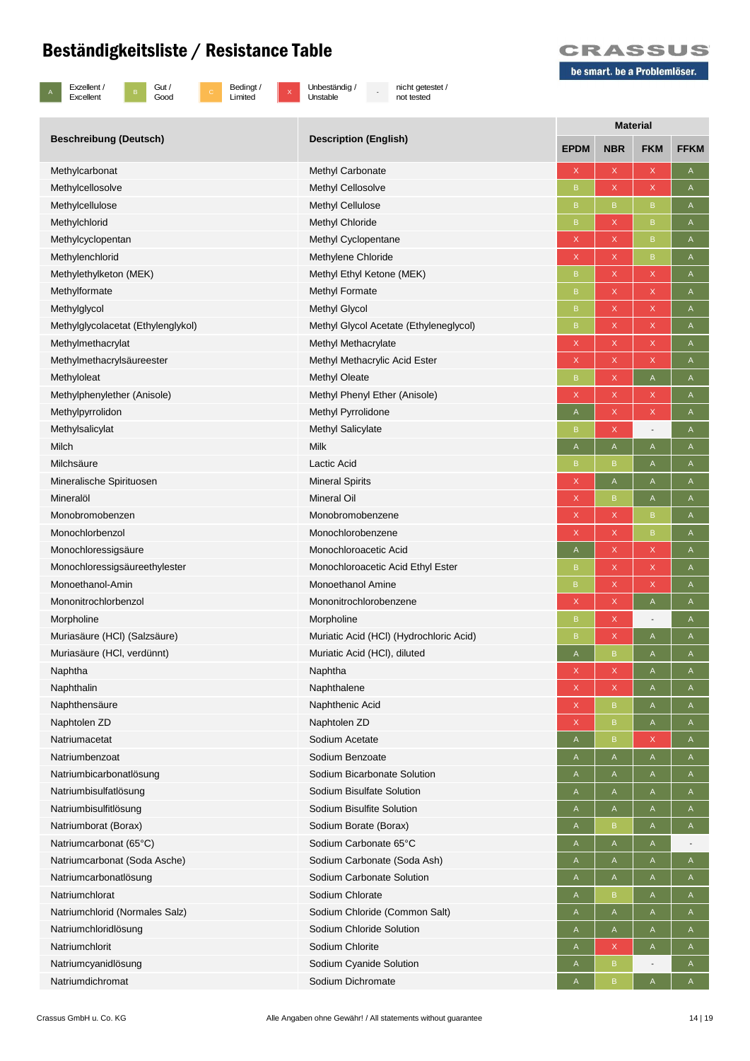

B Gut /<br>Good

c Bedingt /<br>Limited

x Unbeständig /<br>Unstable

- nicht getestet / not tested



| <b>Beschreibung (Deutsch)</b>      | <b>Description (English)</b>            | <b>Material</b>           |             |                                                                       |              |  |
|------------------------------------|-----------------------------------------|---------------------------|-------------|-----------------------------------------------------------------------|--------------|--|
|                                    |                                         | <b>EPDM</b>               | <b>NBR</b>  | <b>FKM</b>                                                            | <b>FFKM</b>  |  |
| Methylcarbonat                     | Methyl Carbonate                        | X                         | X           | $\mathsf{x}$                                                          | A            |  |
| Methylcellosolve                   | Methyl Cellosolve                       | B                         | X           | X                                                                     | A            |  |
| Methylcellulose                    | <b>Methyl Cellulose</b>                 | B                         | B.          | B                                                                     | Α            |  |
| Methylchlorid                      | <b>Methyl Chloride</b>                  | B                         | X           | $\mathsf B$                                                           | Α            |  |
| Methylcyclopentan                  | Methyl Cyclopentane                     | X                         | X           | $\mathsf B$                                                           | A            |  |
| Methylenchlorid                    | Methylene Chloride                      | $\mathsf X$               | X           | $\mathsf B$                                                           | Α            |  |
| Methylethylketon (MEK)             | Methyl Ethyl Ketone (MEK)               | B                         | X           | X                                                                     | A            |  |
| Methylformate                      | Methyl Formate                          | B                         | X           | X                                                                     | A            |  |
| Methylglycol                       | <b>Methyl Glycol</b>                    | B                         | X           | X                                                                     | Α            |  |
| Methylglycolacetat (Ethylenglykol) | Methyl Glycol Acetate (Ethyleneglycol)  | $\mathsf B$               | X           | X                                                                     | Α            |  |
| Methylmethacrylat                  | Methyl Methacrylate                     | X                         | X           | X                                                                     | Α            |  |
| Methylmethacrylsäureester          | Methyl Methacrylic Acid Ester           | $\boldsymbol{\mathsf{X}}$ | X           | $\mathsf X$                                                           | A            |  |
| Methyloleat                        | Methyl Oleate                           | B                         | X           | $\mathsf{A}% _{\mathsf{A}}^{\prime}=\mathsf{A}_{\mathsf{A}}^{\prime}$ | Α            |  |
| Methylphenylether (Anisole)        | Methyl Phenyl Ether (Anisole)           | X                         | X           | X                                                                     | A            |  |
| Methylpyrrolidon                   | Methyl Pyrrolidone                      | A                         | X           | X                                                                     | Α            |  |
| Methylsalicylat                    | <b>Methyl Salicylate</b>                | B                         | X           | $\overline{\phantom{a}}$                                              | A            |  |
| Milch                              | <b>Milk</b>                             | Α                         | A           | A                                                                     | Α            |  |
| Milchsäure                         | Lactic Acid                             | B                         | B           | A                                                                     | Α            |  |
| Mineralische Spirituosen           | <b>Mineral Spirits</b>                  | $\mathsf X$               | A           | A                                                                     | A            |  |
| Mineralöl                          | <b>Mineral Oil</b>                      | $\mathsf X$               | B           | $\mathsf{A}% _{\mathsf{A}}^{\prime}=\mathsf{A}_{\mathsf{A}}^{\prime}$ | A            |  |
| Monobromobenzen                    | Monobromobenzene                        | $\boldsymbol{\mathsf{X}}$ | X           | $\mathsf B$                                                           | A            |  |
| Monochlorbenzol                    | Monochlorobenzene                       | $\mathsf X$               | X           | $\mathsf B$                                                           | Α            |  |
| Monochloressigsäure                | Monochloroacetic Acid                   | A                         | X           | X                                                                     | A            |  |
| Monochloressigsäureethylester      | Monochloroacetic Acid Ethyl Ester       | B                         | X           | X                                                                     | A            |  |
| Monoethanol-Amin                   | <b>Monoethanol Amine</b>                | B                         | X           | $\mathsf X$                                                           | Α            |  |
| Mononitrochlorbenzol               | Mononitrochlorobenzene                  | $\boldsymbol{\mathsf{X}}$ | X           | A                                                                     | Α            |  |
| Morpholine                         | Morpholine                              | B                         | X           | $\overline{\phantom{a}}$                                              | A            |  |
| Muriasäure (HCI) (Salzsäure)       | Muriatic Acid (HCI) (Hydrochloric Acid) | B                         | X           | $\mathsf{A}% _{\mathsf{A}}^{\prime}=\mathsf{A}_{\mathsf{A}}^{\prime}$ | A            |  |
| Muriasäure (HCI, verdünnt)         | Muriatic Acid (HCI), diluted            | A                         | B           | A                                                                     | A            |  |
| Naphtha                            | Naphtha                                 | X                         | X           | A                                                                     | A            |  |
| Naphthalin                         | Naphthalene                             | X                         | X           | A                                                                     | A            |  |
| Naphthensäure                      | Naphthenic Acid                         | $\mathsf X$               | $\mathsf B$ | A                                                                     | A            |  |
| Naphtolen ZD                       | Naphtolen ZD                            | $\mathsf X$               | B           | $\mathsf{A}% _{\mathsf{A}}^{\prime}=\mathsf{A}_{\mathsf{A}}^{\prime}$ | A            |  |
| Natriumacetat                      | Sodium Acetate                          | A                         | B           | X                                                                     | A            |  |
| Natriumbenzoat                     | Sodium Benzoate                         | A                         | A           | A                                                                     | A            |  |
| Natriumbicarbonatlösung            | Sodium Bicarbonate Solution             | A                         | A           | $\mathsf{A}% _{\mathsf{A}}^{\prime}=\mathsf{A}_{\mathsf{A}}^{\prime}$ | A            |  |
| Natriumbisulfatlösung              | Sodium Bisulfate Solution               | A                         | A           | A                                                                     | A            |  |
| Natriumbisulfitlösung              | Sodium Bisulfite Solution               | A                         | A           | A                                                                     | A            |  |
| Natriumborat (Borax)               | Sodium Borate (Borax)                   | A                         | B           | A                                                                     | A            |  |
| Natriumcarbonat (65°C)             | Sodium Carbonate 65°C                   | $\mathsf A$               | A           | A                                                                     |              |  |
| Natriumcarbonat (Soda Asche)       | Sodium Carbonate (Soda Ash)             | A                         | A           | A                                                                     | A            |  |
| Natriumcarbonatlösung              | Sodium Carbonate Solution               | A                         | A           | A                                                                     | A            |  |
| Natriumchlorat                     | Sodium Chlorate                         | A                         | B           | A                                                                     | A            |  |
| Natriumchlorid (Normales Salz)     | Sodium Chloride (Common Salt)           | A                         | A           | $\mathsf A$                                                           | A            |  |
| Natriumchloridlösung               | Sodium Chloride Solution                | A                         | A           | $\mathsf{A}% _{\mathsf{A}}^{\prime}=\mathsf{A}_{\mathsf{A}}^{\prime}$ | A            |  |
| Natriumchlorit                     | Sodium Chlorite                         | A                         | X           | A                                                                     | A            |  |
| Natriumcyanidlösung                | Sodium Cyanide Solution                 | $\mathsf{A}$              | B           |                                                                       | $\mathsf{A}$ |  |
| Natriumdichromat                   | Sodium Dichromate                       | A                         | B           | Α                                                                     | A            |  |
|                                    |                                         |                           |             |                                                                       |              |  |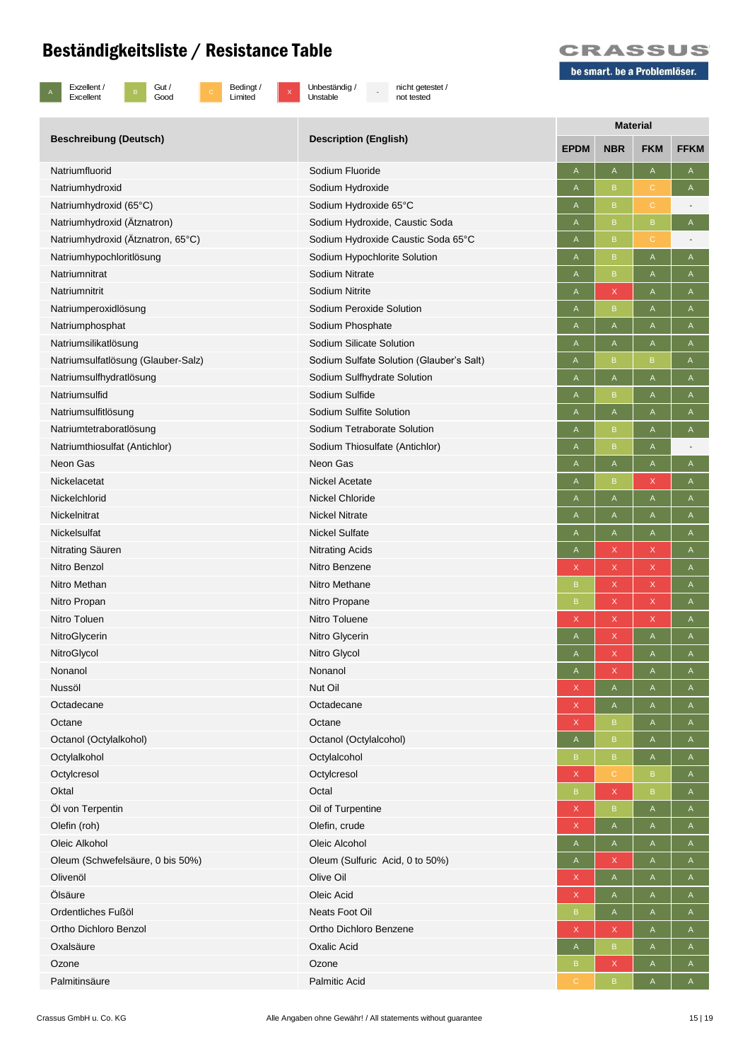

B Gut /<br>Good

c Bedingt /<br>Limited

x Unbeständig /<br>Unstable

- nicht getestet / not tested



| <b>Beschreibung (Deutsch)</b>      | <b>Description (English)</b>             | <b>Material</b> |                                                                       |                                                                       |              |  |
|------------------------------------|------------------------------------------|-----------------|-----------------------------------------------------------------------|-----------------------------------------------------------------------|--------------|--|
|                                    |                                          | <b>EPDM</b>     | <b>NBR</b>                                                            | <b>FKM</b>                                                            | <b>FFKM</b>  |  |
| Natriumfluorid                     | Sodium Fluoride                          | A               | A                                                                     | $\mathsf{A}$                                                          | A            |  |
| Natriumhydroxid                    | Sodium Hydroxide                         | A               | B                                                                     | C.                                                                    | A            |  |
| Natriumhydroxid (65°C)             | Sodium Hydroxide 65°C                    | A               | B                                                                     | $\mathsf{C}$                                                          |              |  |
| Natriumhydroxid (Ätznatron)        | Sodium Hydroxide, Caustic Soda           | A               | B.                                                                    | B                                                                     | A            |  |
| Natriumhydroxid (Ätznatron, 65°C)  | Sodium Hydroxide Caustic Soda 65°C       | A               | B.                                                                    | $\mathbb{C}$                                                          |              |  |
| Natriumhypochloritlösung           | Sodium Hypochlorite Solution             | Α               | B                                                                     | A                                                                     | A            |  |
| Natriumnitrat                      | Sodium Nitrate                           | A               | B.                                                                    | A                                                                     | A            |  |
| Natriumnitrit                      | Sodium Nitrite                           | A               | X                                                                     | A                                                                     | $\mathsf A$  |  |
| Natriumperoxidlösung               | Sodium Peroxide Solution                 | A               | B.                                                                    | A                                                                     | A            |  |
| Natriumphosphat                    | Sodium Phosphate                         | A               | A                                                                     | A                                                                     | Α            |  |
| Natriumsilikatlösung               | Sodium Silicate Solution                 | A               | A                                                                     | A                                                                     | A            |  |
| Natriumsulfatlösung (Glauber-Salz) | Sodium Sulfate Solution (Glauber's Salt) | A               | B                                                                     | B                                                                     | A            |  |
| Natriumsulfhydratlösung            | Sodium Sulfhydrate Solution              | Α               | A                                                                     | A                                                                     | Α            |  |
| Natriumsulfid                      | Sodium Sulfide                           | Α               | B                                                                     | A                                                                     | Α            |  |
| Natriumsulfitlösung                | Sodium Sulfite Solution                  | Α               | A                                                                     | A                                                                     | A            |  |
| Natriumtetraboratlösung            | Sodium Tetraborate Solution              | A               | B                                                                     | $\mathsf{A}% _{\mathsf{A}}^{\prime}=\mathsf{A}_{\mathsf{A}}^{\prime}$ | Α            |  |
| Natriumthiosulfat (Antichlor)      | Sodium Thiosulfate (Antichlor)           | A               | B                                                                     | $\mathsf{A}$                                                          |              |  |
| Neon Gas                           | Neon Gas                                 | A               | A                                                                     | A                                                                     | A            |  |
| Nickelacetat                       | Nickel Acetate                           | A               | B                                                                     | X                                                                     | Α            |  |
| Nickelchlorid                      | <b>Nickel Chloride</b>                   | A               | A                                                                     | A                                                                     | A            |  |
| Nickelnitrat                       | <b>Nickel Nitrate</b>                    | A               | A                                                                     | A                                                                     | Α            |  |
| Nickelsulfat                       | <b>Nickel Sulfate</b>                    | A               | Α                                                                     | A                                                                     | Α            |  |
| Nitrating Säuren                   | <b>Nitrating Acids</b>                   | Α               | X                                                                     | X                                                                     | A            |  |
| Nitro Benzol                       | Nitro Benzene                            | $\mathsf X$     | X                                                                     | X                                                                     | A            |  |
| Nitro Methan                       | Nitro Methane                            | B               | X                                                                     | X                                                                     | A            |  |
| Nitro Propan                       | Nitro Propane                            | B               | X                                                                     | X                                                                     | $\mathsf A$  |  |
| Nitro Toluen                       | Nitro Toluene                            | X               | X                                                                     | X                                                                     | A            |  |
| NitroGlycerin                      | Nitro Glycerin                           | A               | X                                                                     | A                                                                     | A            |  |
| NitroGlycol                        | Nitro Glycol                             | A               | X                                                                     | A                                                                     | Α            |  |
| Nonanol                            | Nonanol                                  | A               | X                                                                     | A                                                                     | A            |  |
| Nussöl                             | Nut Oil                                  | $\mathsf X$     | A                                                                     | A                                                                     | $\mathsf{A}$ |  |
| Octadecane                         | Octadecane                               | $\mathsf X$     | $\mathsf{A}% _{\mathsf{A}}^{\prime}=\mathsf{A}_{\mathsf{A}}^{\prime}$ | $\mathsf A$                                                           | $\mathsf A$  |  |
| Octane                             | Octane                                   | $\mathsf X$     | B                                                                     | $\mathsf A$                                                           | $\mathsf A$  |  |
| Octanol (Octylalkohol)             | Octanol (Octylalcohol)                   | A               | $\mathsf B$                                                           | $\mathsf{A}$                                                          | A            |  |
| Octylalkohol                       | Octylalcohol                             | B               | $\mathsf B$                                                           | $\mathsf A$                                                           | $\mathsf{A}$ |  |
| Octylcresol                        | Octylcresol                              | X               | $\mathbf{C}$                                                          | $\mathsf B$                                                           | A            |  |
| Oktal                              | Octal                                    | $\mathsf B$     | $\mathsf{X}$                                                          | $\mathsf B$                                                           | $\mathsf A$  |  |
| Öl von Terpentin                   | Oil of Turpentine                        | X               | B                                                                     | A                                                                     | A            |  |
| Olefin (roh)                       | Olefin, crude                            | X               | A                                                                     | A                                                                     | $\mathsf{A}$ |  |
| Oleic Alkohol                      | Oleic Alcohol                            | $\mathsf A$     | $\mathsf{A}% _{\mathsf{A}}^{\prime}=\mathsf{A}_{\mathsf{A}}^{\prime}$ | $\mathsf A$                                                           | $\mathsf A$  |  |
| Oleum (Schwefelsäure, 0 bis 50%)   | Oleum (Sulfuric Acid, 0 to 50%)          | A               | X                                                                     | $\mathsf{A}$                                                          | A            |  |
| Olivenöl                           | Olive Oil                                | $\mathsf X$     | A                                                                     | $\mathsf A$                                                           | $\mathsf A$  |  |
| Ölsäure                            | Oleic Acid                               | X               | A                                                                     | $\mathsf A$                                                           | $\mathsf{A}$ |  |
| Ordentliches Fußöl                 | Neats Foot Oil                           | $\sf B$         | $\mathsf A$                                                           | $\mathsf A$                                                           | $\mathsf{A}$ |  |
| Ortho Dichloro Benzol              | Ortho Dichloro Benzene                   | $\mathsf X$     | X                                                                     | A                                                                     | A            |  |
| Oxalsäure                          | Oxalic Acid                              | $\mathsf A$     | B.                                                                    | A                                                                     | A            |  |
| Ozone                              | Ozone                                    | B               | X                                                                     | A                                                                     | $\mathsf{A}$ |  |
| Palmitinsäure                      | Palmitic Acid                            | $\mathcal{C}$   | $\mathsf B$                                                           | $\mathsf A$                                                           | $\mathsf A$  |  |
|                                    |                                          |                 |                                                                       |                                                                       |              |  |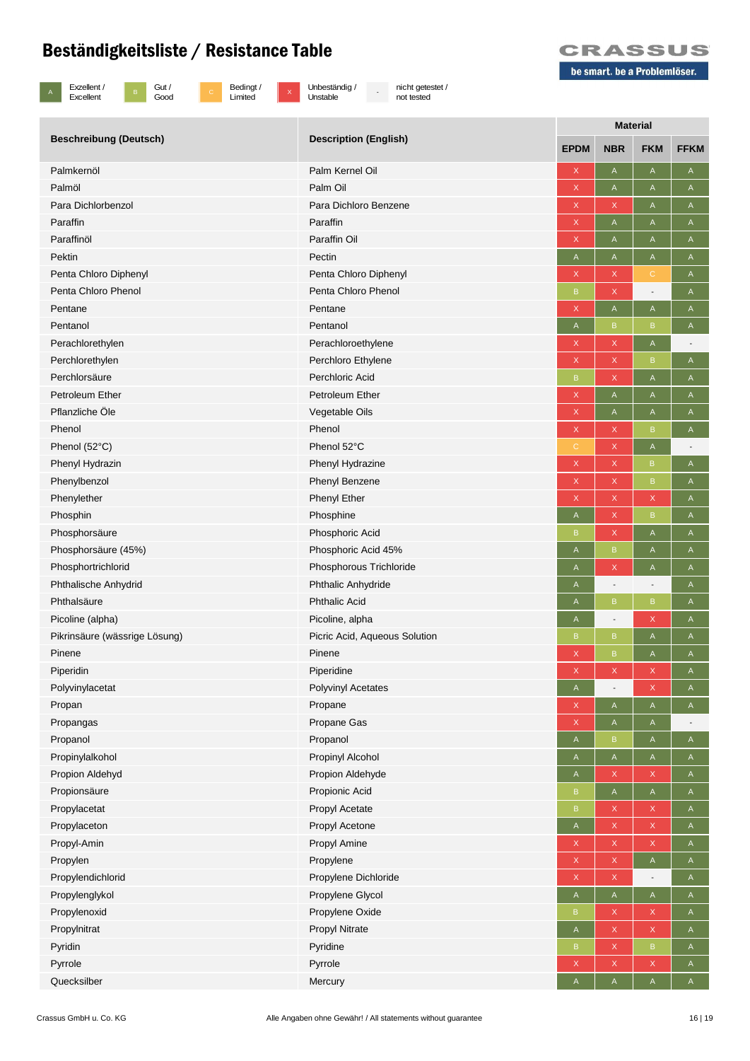

B Gut /<br>Good

c Bedingt /<br>Limited

x Unbeständig /<br>Unstable

- nicht getestet / not tested



| <b>Beschreibung (Deutsch)</b> | <b>Description (English)</b>  | <b>Material</b>           |              |                                                                       |                |  |
|-------------------------------|-------------------------------|---------------------------|--------------|-----------------------------------------------------------------------|----------------|--|
|                               |                               | <b>EPDM</b>               | <b>NBR</b>   | <b>FKM</b>                                                            | <b>FFKM</b>    |  |
| Palmkernöl                    | Palm Kernel Oil               | $\boldsymbol{\mathsf{X}}$ | A            | $\mathsf{A}% _{\mathsf{A}}^{\prime}=\mathsf{A}_{\mathsf{A}}^{\prime}$ | A              |  |
| Palmöl                        | Palm Oil                      | $\mathsf X$               | A            | $\mathsf{A}% _{\mathsf{A}}^{\prime}=\mathsf{A}_{\mathsf{A}}^{\prime}$ | $\mathsf A$    |  |
| Para Dichlorbenzol            | Para Dichloro Benzene         | $\mathsf X$               | X            | $\mathsf{A}% _{\mathsf{A}}^{\prime}=\mathsf{A}_{\mathsf{A}}^{\prime}$ | A              |  |
| Paraffin                      | Paraffin                      | $\boldsymbol{\mathsf{X}}$ | A            | A                                                                     | $\mathsf A$    |  |
| Paraffinöl                    | Paraffin Oil                  | X                         | A            | A                                                                     | A              |  |
| Pektin                        | Pectin                        | $\mathsf A$               | A            | A                                                                     | $\mathsf A$    |  |
| Penta Chloro Diphenyl         | Penta Chloro Diphenyl         | $\mathsf X$               | X            | $\mathbf C$                                                           | $\mathsf A$    |  |
| Penta Chloro Phenol           | Penta Chloro Phenol           | $\mathsf B$               | X            | $\overline{\phantom{a}}$                                              | Α              |  |
| Pentane                       | Pentane                       | X                         | A            | A                                                                     | A              |  |
| Pentanol                      | Pentanol                      | $\mathsf A$               | B            | $\mathsf B$                                                           | $\mathsf A$    |  |
| Perachlorethylen              | Perachloroethylene            | $\mathsf X$               | X            | $\mathsf A$                                                           | $\overline{a}$ |  |
| Perchlorethylen               | Perchloro Ethylene            | X                         | X            | B                                                                     | A              |  |
| Perchlorsäure                 | Perchloric Acid               | B                         | X            | A                                                                     | $\mathsf{A}$   |  |
| Petroleum Ether               | Petroleum Ether               | $\boldsymbol{\mathsf{X}}$ | A            | A                                                                     | A              |  |
| Pflanzliche Öle               | Vegetable Oils                | $\mathsf X$               | A            | A                                                                     | Α              |  |
| Phenol                        | Phenol                        | $\mathsf X$               | X            | $\mathsf B$                                                           | A              |  |
| Phenol (52°C)                 | Phenol 52°C                   | C                         | X            | $\mathsf A$                                                           |                |  |
| Phenyl Hydrazin               | Phenyl Hydrazine              | $\boldsymbol{\mathsf{X}}$ | X            | $\sf{B}$                                                              | A              |  |
| Phenylbenzol                  | Phenyl Benzene                | $\boldsymbol{\mathsf{X}}$ | X            | $\, {\bf B}$                                                          | A              |  |
| Phenylether                   | <b>Phenyl Ether</b>           | X                         | X            | X                                                                     | Α              |  |
| Phosphin                      | Phosphine                     | A                         | X.           | $\mathsf B$                                                           | A              |  |
| Phosphorsäure                 | Phosphoric Acid               | B                         | X            | $\mathsf A$                                                           | $\mathsf A$    |  |
| Phosphorsäure (45%)           | Phosphoric Acid 45%           | A                         | B            | A                                                                     | Α              |  |
| Phosphortrichlorid            | Phosphorous Trichloride       | A                         | X            | A                                                                     | Α              |  |
| Phthalische Anhydrid          | Phthalic Anhydride            | Α                         |              | $\overline{\phantom{a}}$                                              | A              |  |
| Phthalsäure                   | <b>Phthalic Acid</b>          | A                         | B            | $\mathsf B$                                                           | A              |  |
| Picoline (alpha)              | Picoline, alpha               | A                         |              | $\mathsf X$                                                           | $\mathsf A$    |  |
| Pikrinsäure (wässrige Lösung) | Picric Acid, Aqueous Solution | B                         | B            | A                                                                     | A              |  |
| Pinene                        | Pinene                        | $\boldsymbol{\mathsf{X}}$ | B            | A                                                                     | A              |  |
| Piperidin                     | Piperidine                    | $\mathsf X$               | X            | X                                                                     | A              |  |
| Polyvinylacetat               | Polyvinyl Acetates            | A                         |              | X                                                                     | A              |  |
| Propan                        | Propane                       | $\mathsf X$               | A            | $\mathsf A$                                                           | A              |  |
| Propangas                     | Propane Gas                   | $\boldsymbol{\mathsf{X}}$ | $\mathsf{A}$ | A                                                                     |                |  |
| Propanol                      | Propanol                      | $\mathsf A$               | B            | $\mathsf A$                                                           | A              |  |
| Propinylalkohol               | Propinyl Alcohol              | $\mathsf{A}$              | $\mathsf{A}$ | $\mathsf A$                                                           | $\mathsf{A}$   |  |
| Propion Aldehyd               | Propion Aldehyde              | $\mathsf A$               | X            | X                                                                     | $\mathsf A$    |  |
| Propionsäure                  | Propionic Acid                | B                         | $\mathsf{A}$ | A                                                                     | $\mathsf{A}$   |  |
| Propylacetat                  | Propyl Acetate                | $\sf B$                   | X            | X                                                                     | $\mathsf{A}$   |  |
| Propylaceton                  | Propyl Acetone                | $\mathsf{A}$              | X            | X                                                                     | A              |  |
| Propyl-Amin                   | Propyl Amine                  | $\mathsf X$               | X            | X                                                                     | $\mathsf A$    |  |
| Propylen                      | Propylene                     | X                         | X            | $\mathsf A$                                                           | A              |  |
| Propylendichlorid             | Propylene Dichloride          | $\mathsf X$               | $\mathsf{X}$ | $\overline{\phantom{a}}$                                              | A              |  |
| Propylenglykol                | Propylene Glycol              | $\mathsf A$               | A            | $\mathsf A$                                                           | $\mathsf{A}$   |  |
| Propylenoxid                  | Propylene Oxide               | B                         | X            | X                                                                     | $\mathsf{A}$   |  |
| Propylnitrat                  | Propyl Nitrate                | $\mathsf{A}$              | X            | X                                                                     | $\mathsf{A}$   |  |
| Pyridin                       | Pyridine                      | B                         | X            | $\mathsf B$                                                           | $\mathsf A$    |  |
| Pyrrole                       | Pyrrole                       | $\mathsf X$               | X            | $\mathsf X$                                                           | $\mathsf A$    |  |
| Quecksilber                   | Mercury                       | A                         | A            | A                                                                     | A              |  |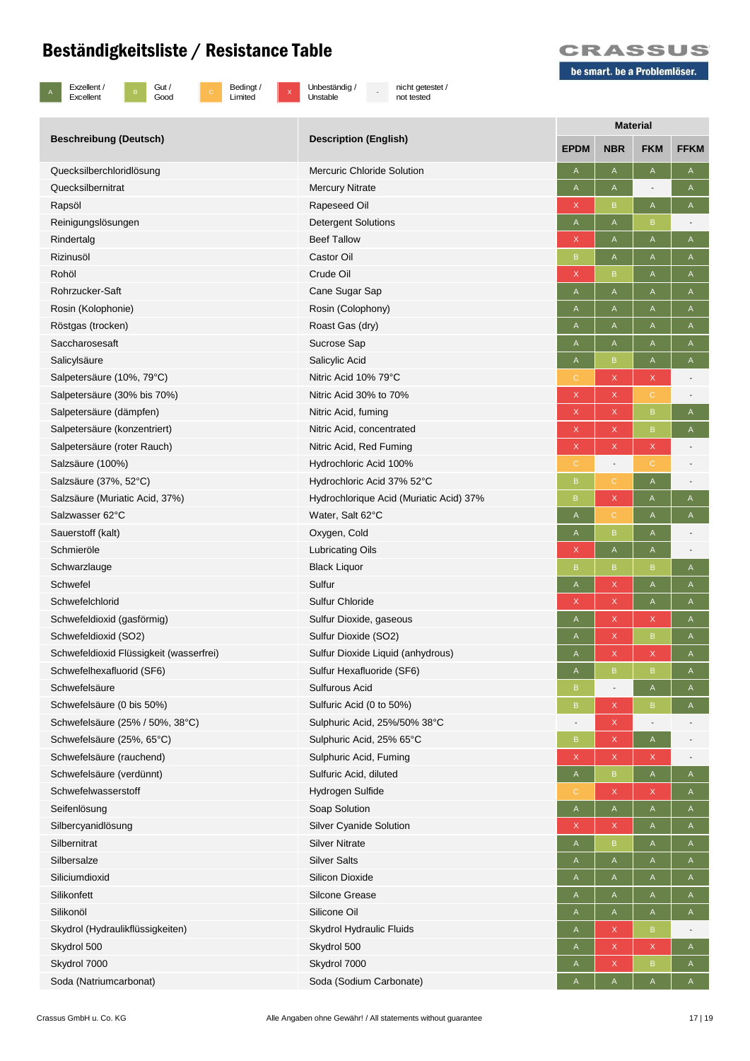

B Gut /<br>Good

c Bedingt /<br>Limited

 $\overline{x}$  Unbeständig / Unstable

- nicht getestet / not tested



|                                         |                                         | <b>Material</b> |                          |                          |                          |
|-----------------------------------------|-----------------------------------------|-----------------|--------------------------|--------------------------|--------------------------|
| <b>Beschreibung (Deutsch)</b>           | <b>Description (English)</b>            | <b>EPDM</b>     | <b>NBR</b>               | <b>FKM</b>               | <b>FFKM</b>              |
| Quecksilberchloridlösung                | <b>Mercuric Chloride Solution</b>       | A               | A                        | $\mathsf A$              | A                        |
| Quecksilbernitrat                       | <b>Mercury Nitrate</b>                  | A               | A                        |                          | A                        |
| Rapsöl                                  | Rapeseed Oil                            | X               | B                        | $\mathsf A$              | A                        |
| Reinigungslösungen                      | <b>Detergent Solutions</b>              | A               | A                        | $\mathsf B$              |                          |
| Rindertalg                              | <b>Beef Tallow</b>                      | X               | Α                        | Α                        | A                        |
| Rizinusöl                               | Castor Oil                              | B               | A                        | A                        | A                        |
| Rohöl                                   | Crude Oil                               | X               | B                        | $\mathsf A$              | A                        |
| Rohrzucker-Saft                         | Cane Sugar Sap                          | A               | Α                        | Α                        | A                        |
| Rosin (Kolophonie)                      | Rosin (Colophony)                       | A               | Α                        | Α                        | A                        |
| Röstgas (trocken)                       | Roast Gas (dry)                         | Α               | A                        | A                        | A                        |
| Saccharosesaft                          | Sucrose Sap                             | A               | Α                        | Α                        | A                        |
| Salicylsäure                            | Salicylic Acid                          | A               | $\sf{B}$                 | A                        | A                        |
| Salpetersäure (10%, 79°C)               | Nitric Acid 10% 79°C                    | С               | X                        | X                        |                          |
| Salpetersäure (30% bis 70%)             | Nitric Acid 30% to 70%                  | X               | $\mathsf X$              | $\mathsf C$              |                          |
| Salpetersäure (dämpfen)                 | Nitric Acid, fuming                     | X               | $\mathsf X$              | $\sf{B}$                 | A                        |
| Salpetersäure (konzentriert)            | Nitric Acid, concentrated               | X               | X                        | $\sf{B}$                 | $\mathsf A$              |
| Salpetersäure (roter Rauch)             | Nitric Acid, Red Fuming                 | X.              | X                        | X                        |                          |
| Salzsäure (100%)                        | Hydrochloric Acid 100%                  | C.              | $\overline{\phantom{a}}$ | С                        |                          |
| Salzsäure (37%, 52°C)                   | Hydrochloric Acid 37% 52°C              | B               | $\mathbf C$              | $\mathsf A$              |                          |
| Salzsäure (Muriatic Acid, 37%)          | Hydrochlorique Acid (Muriatic Acid) 37% | B.              | X                        | A                        | A                        |
| Salzwasser 62°C                         | Water, Salt 62°C                        | A               | $\mathsf C$              | Α                        | A                        |
| Sauerstoff (kalt)                       | Oxygen, Cold                            | A               | $\sf{B}$                 | A                        |                          |
| Schmieröle                              |                                         | X               | $\mathsf A$              |                          |                          |
|                                         | <b>Lubricating Oils</b>                 | B               |                          | $\mathsf A$              |                          |
| Schwarzlauge                            | <b>Black Liquor</b><br>Sulfur           |                 | B                        | B                        | A                        |
| Schwefel                                |                                         | A               | X                        | A                        | A                        |
| Schwefelchlorid                         | <b>Sulfur Chloride</b>                  | Χ               | X                        | A                        | A                        |
| Schwefeldioxid (gasförmig)              | Sulfur Dioxide, gaseous                 | A               | X                        | X                        | A                        |
| Schwefeldioxid (SO2)                    | Sulfur Dioxide (SO2)                    | Α               | X                        | $\sf{B}$                 | A                        |
| Schwefeldioxid Flüssigkeit (wasserfrei) | Sulfur Dioxide Liquid (anhydrous)       | Α               | X                        | X                        | A                        |
| Schwefelhexafluorid (SF6)               | Sulfur Hexafluoride (SF6)               | A               | $\sf{B}$                 | $\sf{B}$                 | $\mathsf A$              |
| Schwefelsäure                           | Sulfurous Acid                          | B.              | $\overline{a}$           | A                        | A                        |
| Schwefelsäure (0 bis 50%)               | Sulfuric Acid (0 to 50%)                | $\mathsf B$     | X                        | $\sf{B}$                 | A                        |
| Schwefelsäure (25% / 50%, 38°C)         | Sulphuric Acid, 25%/50% 38°C            |                 | X                        | $\overline{\phantom{a}}$ |                          |
| Schwefelsäure (25%, 65°C)               | Sulphuric Acid, 25% 65°C                | $\mathsf B$     | X                        | A                        |                          |
| Schwefelsäure (rauchend)                | Sulphuric Acid, Fuming                  | X               | X                        | X                        | $\overline{\phantom{a}}$ |
| Schwefelsäure (verdünnt)                | Sulfuric Acid, diluted                  | A               | $\, {\bf B}$             | $\mathsf A$              | A                        |
| Schwefelwasserstoff                     | Hydrogen Sulfide                        | C.              | X                        | X                        | A                        |
| Seifenlösung                            | Soap Solution                           | A               | A                        | $\mathsf A$              | A                        |
| Silbercyanidlösung                      | Silver Cyanide Solution                 | X               | X                        | $\mathsf A$              | A                        |
| Silbernitrat                            | <b>Silver Nitrate</b>                   | A               | B                        | Α                        | A                        |
| Silbersalze                             | <b>Silver Salts</b>                     | A               | A                        | A                        | A                        |
| Siliciumdioxid                          | Silicon Dioxide                         | A               | A                        | A                        | A                        |
| Silikonfett                             | Silcone Grease                          | A               | Α                        | Α                        | A                        |
| Silikonöl                               | Silicone Oil                            | A               | A                        | A                        | A                        |
| Skydrol (Hydraulikflüssigkeiten)        | Skydrol Hydraulic Fluids                | A               | X                        | B                        |                          |
| Skydrol 500                             | Skydrol 500                             | A               | X                        | X                        | A                        |
| Skydrol 7000                            | Skydrol 7000                            | A               | X                        | B                        | $\mathsf{A}$             |
| Soda (Natriumcarbonat)                  | Soda (Sodium Carbonate)                 | A               | $\mathsf A$              | $\mathsf A$              | A                        |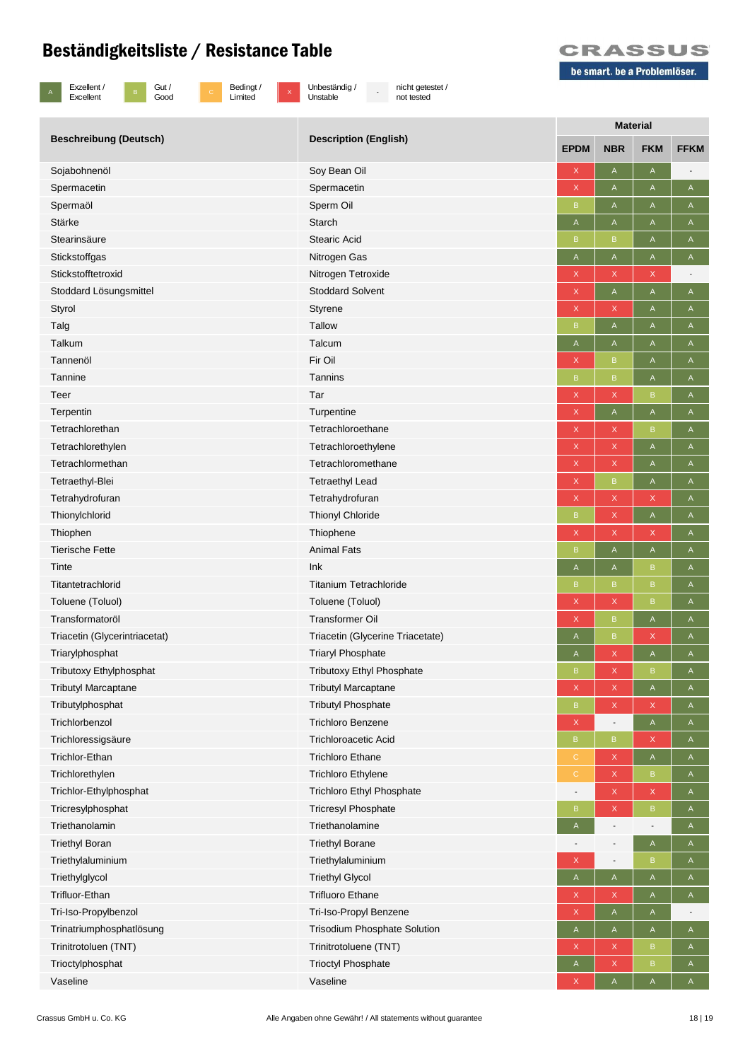



c Bedingt /<br>Limited

x Unbeständig /<br>Unstable

- nicht getestet / not tested



|                                | <b>Description (English)</b>     | <b>Material</b>           |                          |                          |              |  |
|--------------------------------|----------------------------------|---------------------------|--------------------------|--------------------------|--------------|--|
| <b>Beschreibung (Deutsch)</b>  |                                  | <b>EPDM</b>               | <b>NBR</b>               | <b>FKM</b>               | <b>FFKM</b>  |  |
| Sojabohnenöl                   | Soy Bean Oil                     | $\mathsf X$               | A                        | $\mathsf A$              |              |  |
| Spermacetin                    | Spermacetin                      | X                         | A                        | Α                        | A            |  |
| Spermaöl                       | Sperm Oil                        | $\sf B$                   | A                        | A                        | $\mathsf A$  |  |
| Stärke                         | <b>Starch</b>                    | A                         | Α                        | Α                        | Α            |  |
| Stearinsäure                   | <b>Stearic Acid</b>              | B                         | B                        | A                        | A            |  |
| Stickstoffgas                  | Nitrogen Gas                     | A                         | $\mathsf{A}$             | $\mathsf A$              | A            |  |
| Stickstofftetroxid             | Nitrogen Tetroxide               | $\mathsf X$               | X                        | $\mathsf X$              |              |  |
| Stoddard Lösungsmittel         | <b>Stoddard Solvent</b>          | $\mathsf X$               | A                        | $\mathsf A$              | $\mathsf A$  |  |
| Styrol                         | Styrene                          | $\mathsf X$               | X                        | A                        | A            |  |
| Talg                           | <b>Tallow</b>                    | $\sf B$                   | A                        | A                        | A            |  |
| Talkum                         | Talcum                           | A                         | A                        | A                        | $\mathsf A$  |  |
| Tannenöl                       | Fir Oil                          | $\boldsymbol{\mathsf{X}}$ | B                        | A                        | Α            |  |
| Tannine                        | Tannins                          | B                         | B                        | A                        | A            |  |
| Teer                           | Tar                              | $\mathsf X$               | X                        | $\sf{B}$                 | A            |  |
| Terpentin                      | Turpentine                       | $\mathsf X$               | A                        | $\sf A$                  | $\mathsf A$  |  |
| Tetrachlorethan                | Tetrachloroethane                | X                         | X                        | B                        | A            |  |
| Tetrachlorethylen              | Tetrachloroethylene              | $\mathsf X$               | X                        | A                        | A            |  |
| Tetrachlormethan               | Tetrachloromethane               | X                         | X                        | A                        | A            |  |
| Tetraethyl-Blei                | <b>Tetraethyl Lead</b>           | $\boldsymbol{\mathsf{X}}$ | B                        | A                        | Α            |  |
| Tetrahydrofuran                | Tetrahydrofuran                  | $\mathsf X$               | X                        | X                        | A            |  |
| Thionylchlorid                 | <b>Thionyl Chloride</b>          | B                         | X                        | $\mathsf A$              | A            |  |
| Thiophen                       | Thiophene                        | $\mathsf X$               | X                        | $\mathsf X$              | $\mathsf A$  |  |
| <b>Tierische Fette</b>         | <b>Animal Fats</b>               | B                         | A                        | $\mathsf A$              | A            |  |
| Tinte                          | Ink                              | $\mathsf A$               | A                        | $\, {\bf B}$             | $\mathsf A$  |  |
| Titantetrachlorid              | <b>Titanium Tetrachloride</b>    | B                         | B                        | $\, {\bf B}$             | A            |  |
| Toluene (Toluol)               | Toluene (Toluol)                 | $\boldsymbol{\mathsf{X}}$ | X                        | $\sf{B}$                 | $\mathsf A$  |  |
| Transformatoröl                | <b>Transformer Oil</b>           | X                         | B                        | A                        | A            |  |
| Triacetin (Glycerintriacetat)  | Triacetin (Glycerine Triacetate) | $\mathsf A$               | B                        | $\mathsf X$              | Α            |  |
| Triarylphosphat                | <b>Triaryl Phosphate</b>         | A                         | X                        | A                        | A            |  |
| <b>Tributoxy Ethylphosphat</b> | <b>Tributoxy Ethyl Phosphate</b> | B                         | X                        | $\mathsf B$              | A            |  |
| <b>Tributyl Marcaptane</b>     | <b>Tributyl Marcaptane</b>       | $\mathsf X$               | X                        | A                        | $\mathsf{A}$ |  |
| Tributylphosphat               | <b>Tributyl Phosphate</b>        | $\mathsf B$               | X                        | $\mathsf X$              | A            |  |
| Trichlorbenzol                 | <b>Trichloro Benzene</b>         | $\mathsf X$               |                          | $\mathsf A$              | $\mathsf A$  |  |
| Trichloressigsäure             | <b>Trichloroacetic Acid</b>      | $\mathsf B$               | $\mathsf B$              | X                        | A            |  |
| Trichlor-Ethan                 | <b>Trichloro Ethane</b>          | $\mathsf{C}$              | X                        | $\mathsf A$              | A            |  |
| Trichlorethylen                | <b>Trichloro Ethylene</b>        | C                         | X                        | B                        | A            |  |
| Trichlor-Ethylphosphat         | Trichloro Ethyl Phosphate        |                           | X                        | $\mathsf X$              | A            |  |
| Tricresylphosphat              | <b>Tricresyl Phosphate</b>       | B                         | X                        | $\sf B$                  | $\mathsf A$  |  |
| Triethanolamin                 | Triethanolamine                  | $\mathsf A$               | $\overline{\phantom{a}}$ | $\overline{\phantom{a}}$ | A            |  |
| <b>Triethyl Boran</b>          | <b>Triethyl Borane</b>           |                           |                          | $\mathsf A$              | $\mathsf A$  |  |
| Triethylaluminium              | Triethylaluminium                | X                         | $\overline{\phantom{a}}$ | $\, {\bf B}$             | A            |  |
| Triethylglycol                 | <b>Triethyl Glycol</b>           | A                         | $\mathsf{A}$             | $\mathsf{A}$             | $\mathsf{A}$ |  |
| Trifluor-Ethan                 | <b>Trifluoro Ethane</b>          | X                         | X                        | A                        | A            |  |
| Tri-Iso-Propylbenzol           | Tri-Iso-Propyl Benzene           | $\mathsf X$               | A                        | A                        |              |  |
| Trinatriumphosphatlösung       | Trisodium Phosphate Solution     | A                         | A                        | A                        | A            |  |
| Trinitrotoluen (TNT)           | Trinitrotoluene (TNT)            | X                         | X                        | $\sf{B}$                 | A            |  |
| Trioctylphosphat               | <b>Trioctyl Phosphate</b>        | $\mathsf A$               | X                        | $\mathsf B$              | $\mathsf A$  |  |
| Vaseline                       | Vaseline                         | X                         | A                        | A                        | $\mathsf{A}$ |  |